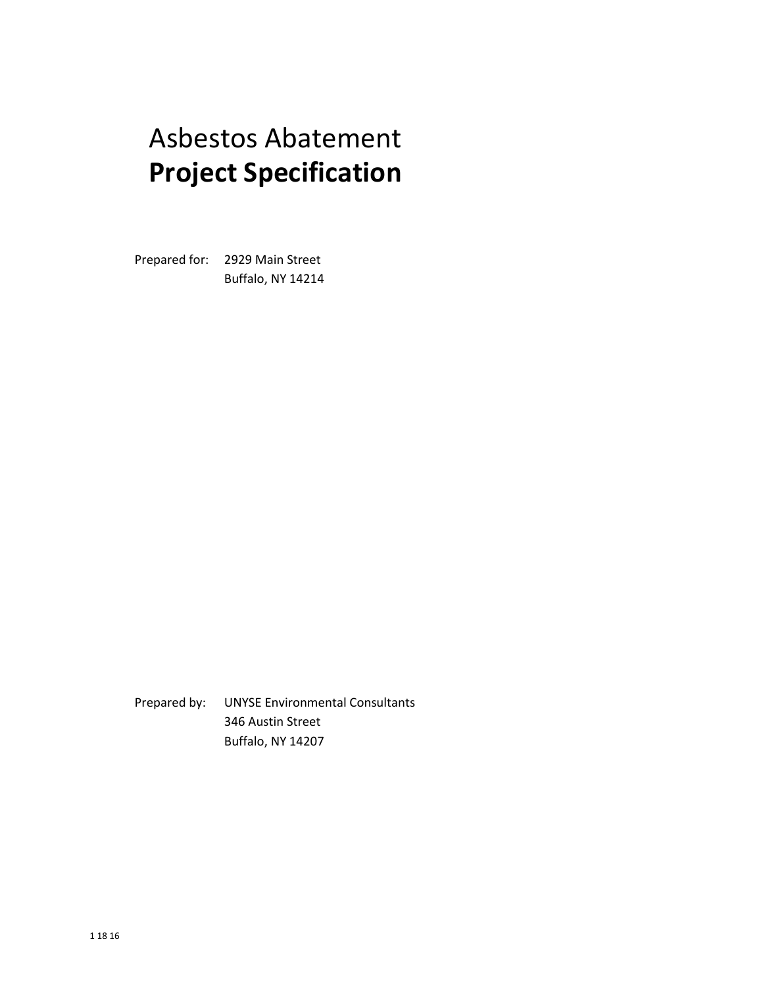# Asbestos Abatement **Project Specification**

Prepared for: 2929 Main Street Buffalo, NY 14214

Prepared by: UNYSE Environmental Consultants 346 Austin Street Buffalo, NY 14207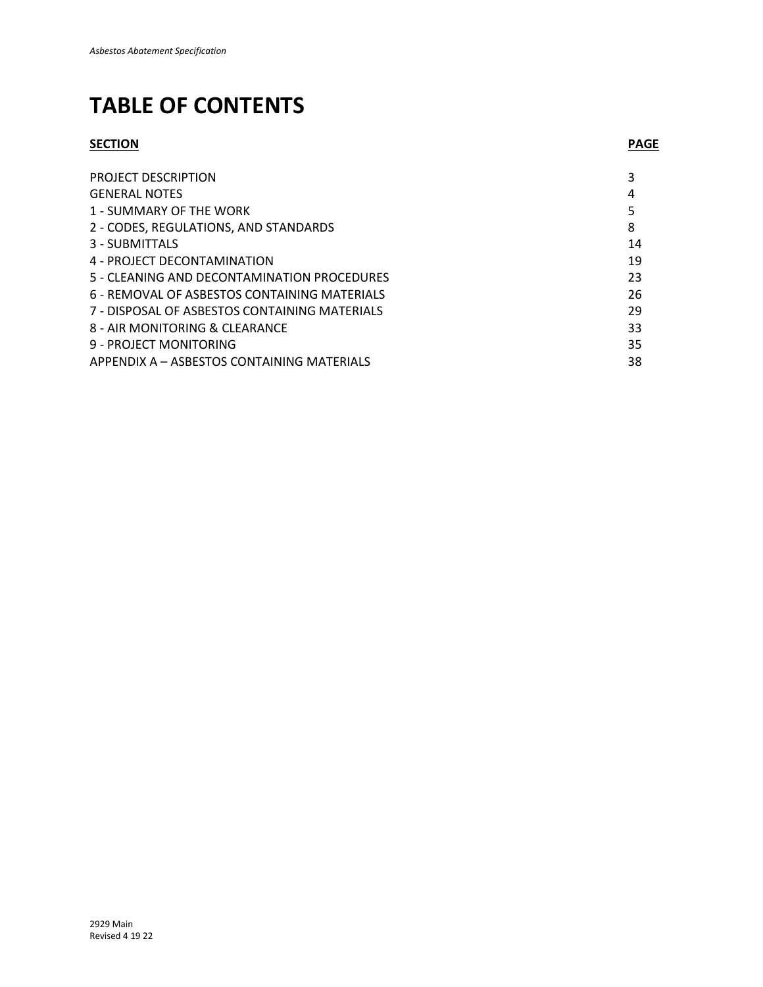## **TABLE OF CONTENTS**

## **SECTION PAGE**

| PROJECT DESCRIPTION                           |    |
|-----------------------------------------------|----|
| <b>GENERAL NOTES</b>                          | 4  |
| 1 - SUMMARY OF THE WORK                       |    |
| 2 - CODES, REGULATIONS, AND STANDARDS         | 8  |
| 3 - SUBMITTALS                                | 14 |
| 4 - PROJECT DECONTAMINATION                   | 19 |
| 5 - CLEANING AND DECONTAMINATION PROCEDURES   | 23 |
| 6 - REMOVAL OF ASBESTOS CONTAINING MATERIALS  | 26 |
| 7 - DISPOSAL OF ASBESTOS CONTAINING MATERIALS | 29 |
| 8 - AIR MONITORING & CLEARANCE                | 33 |
| 9 - PROJECT MONITORING                        | 35 |
| APPENDIX A - ASBESTOS CONTAINING MATERIALS    | 38 |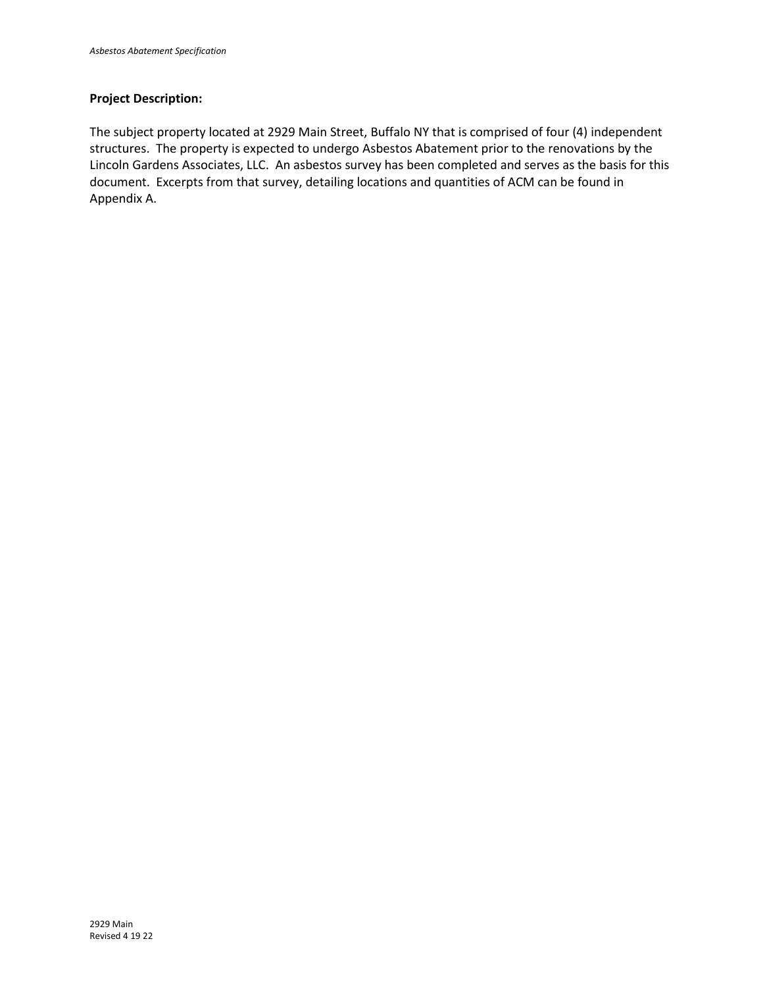## **Project Description:**

The subject property located at 2929 Main Street, Buffalo NY that is comprised of four (4) independent structures. The property is expected to undergo Asbestos Abatement prior to the renovations by the Lincoln Gardens Associates, LLC. An asbestos survey has been completed and serves as the basis for this document. Excerpts from that survey, detailing locations and quantities of ACM can be found in Appendix A.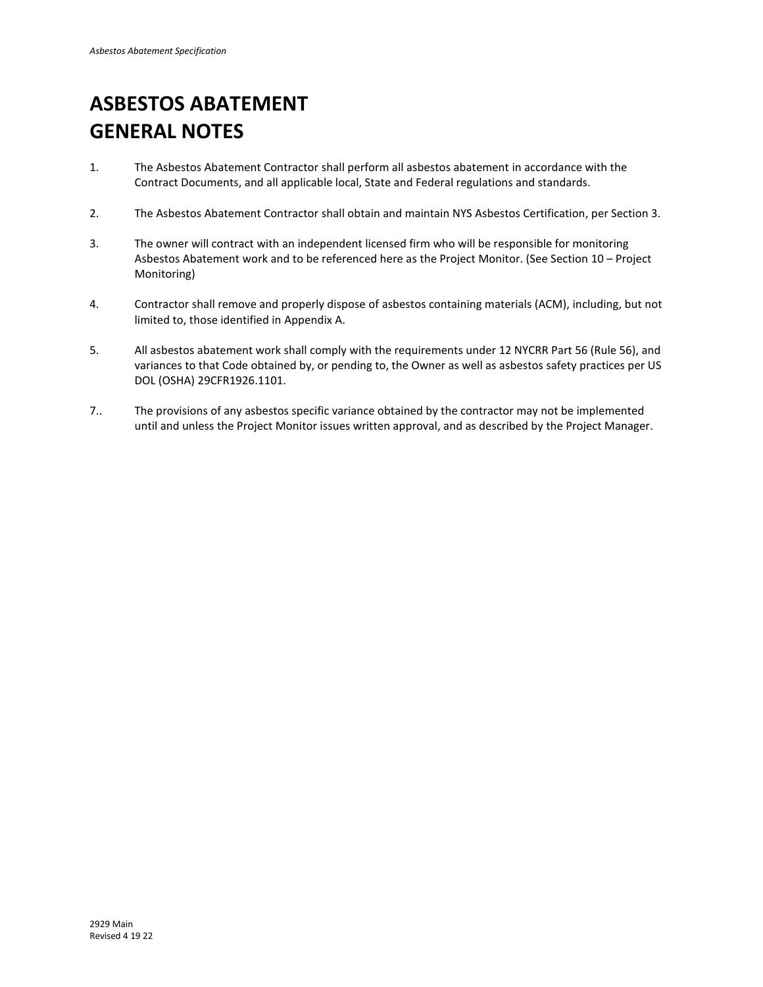## **ASBESTOS ABATEMENT GENERAL NOTES**

- 1. The Asbestos Abatement Contractor shall perform all asbestos abatement in accordance with the Contract Documents, and all applicable local, State and Federal regulations and standards.
- 2. The Asbestos Abatement Contractor shall obtain and maintain NYS Asbestos Certification, per Section 3.
- 3. The owner will contract with an independent licensed firm who will be responsible for monitoring Asbestos Abatement work and to be referenced here as the Project Monitor. (See Section 10 – Project Monitoring)
- 4. Contractor shall remove and properly dispose of asbestos containing materials (ACM), including, but not limited to, those identified in Appendix A.
- 5. All asbestos abatement work shall comply with the requirements under 12 NYCRR Part 56 (Rule 56), and variances to that Code obtained by, or pending to, the Owner as well as asbestos safety practices per US DOL (OSHA) 29CFR1926.1101.
- 7.. The provisions of any asbestos specific variance obtained by the contractor may not be implemented until and unless the Project Monitor issues written approval, and as described by the Project Manager.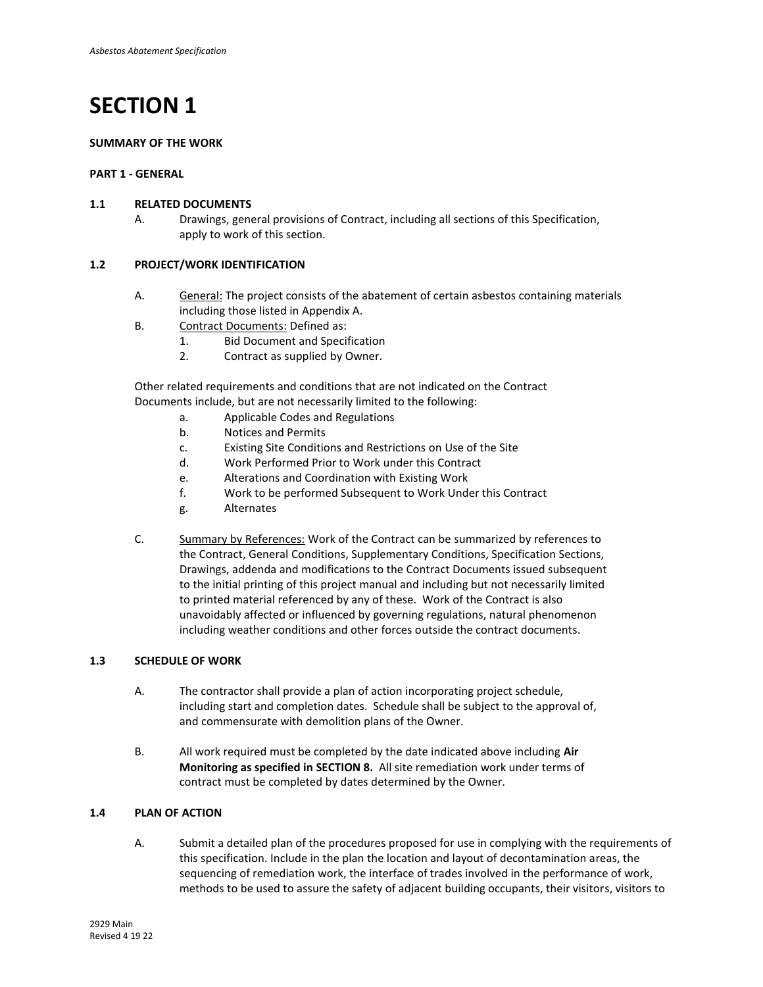## **SUMMARY OF THE WORK**

## **PART 1 - GENERAL**

## **1.1 RELATED DOCUMENTS**

A. Drawings, general provisions of Contract, including all sections of this Specification, apply to work of this section.

## **1.2 PROJECT/WORK IDENTIFICATION**

- A. General: The project consists of the abatement of certain asbestos containing materials including those listed in Appendix A.
- B. Contract Documents: Defined as:
	- 1. Bid Document and Specification
	- 2. Contract as supplied by Owner.

 Other related requirements and conditions that are not indicated on the Contract Documents include, but are not necessarily limited to the following:

- a. Applicable Codes and Regulations
- b. Notices and Permits
- c. Existing Site Conditions and Restrictions on Use of the Site
- d. Work Performed Prior to Work under this Contract
- e. Alterations and Coordination with Existing Work
- f. Work to be performed Subsequent to Work Under this Contract
- g. Alternates
- C. Summary by References: Work of the Contract can be summarized by references to the Contract, General Conditions, Supplementary Conditions, Specification Sections, Drawings, addenda and modifications to the Contract Documents issued subsequent to the initial printing of this project manual and including but not necessarily limited to printed material referenced by any of these. Work of the Contract is also unavoidably affected or influenced by governing regulations, natural phenomenon including weather conditions and other forces outside the contract documents.

## **1.3 SCHEDULE OF WORK**

- A. The contractor shall provide a plan of action incorporating project schedule, including start and completion dates. Schedule shall be subject to the approval of, and commensurate with demolition plans of the Owner.
- B. All work required must be completed by the date indicated above including **Air Monitoring as specified in SECTION 8.** All site remediation work under terms of contract must be completed by dates determined by the Owner.

## **1.4 PLAN OF ACTION**

A. Submit a detailed plan of the procedures proposed for use in complying with the requirements of this specification. Include in the plan the location and layout of decontamination areas, the sequencing of remediation work, the interface of trades involved in the performance of work, methods to be used to assure the safety of adjacent building occupants, their visitors, visitors to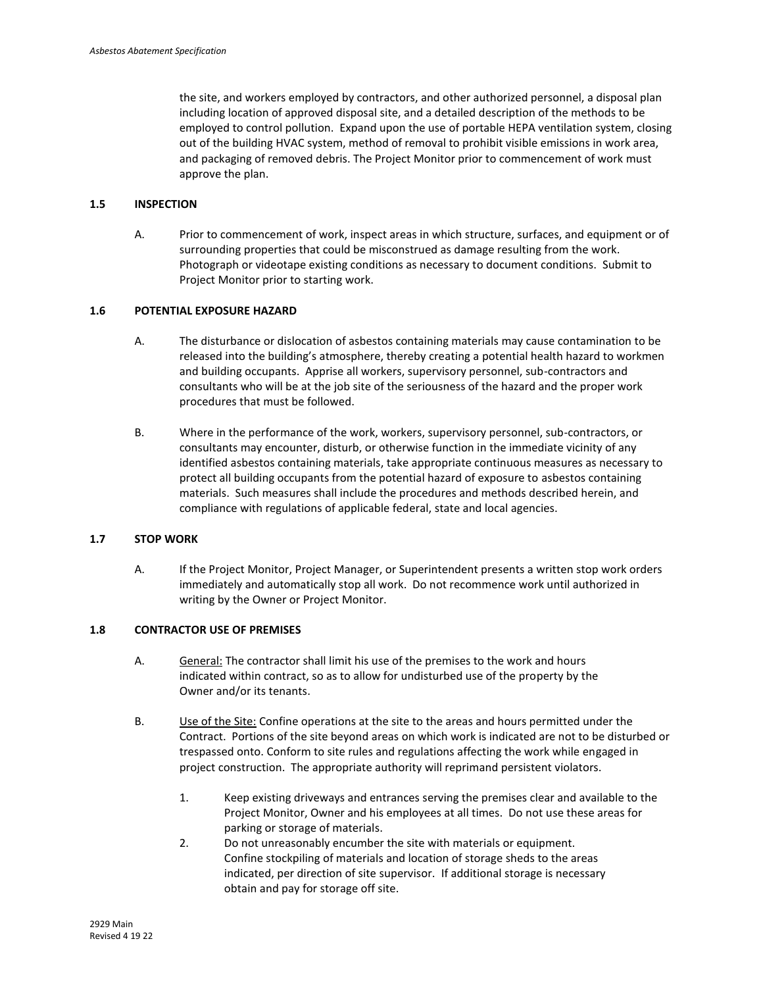the site, and workers employed by contractors, and other authorized personnel, a disposal plan including location of approved disposal site, and a detailed description of the methods to be employed to control pollution. Expand upon the use of portable HEPA ventilation system, closing out of the building HVAC system, method of removal to prohibit visible emissions in work area, and packaging of removed debris. The Project Monitor prior to commencement of work must approve the plan.

## **1.5 INSPECTION**

A. Prior to commencement of work, inspect areas in which structure, surfaces, and equipment or of surrounding properties that could be misconstrued as damage resulting from the work. Photograph or videotape existing conditions as necessary to document conditions. Submit to Project Monitor prior to starting work.

## **1.6 POTENTIAL EXPOSURE HAZARD**

- A. The disturbance or dislocation of asbestos containing materials may cause contamination to be released into the building's atmosphere, thereby creating a potential health hazard to workmen and building occupants. Apprise all workers, supervisory personnel, sub-contractors and consultants who will be at the job site of the seriousness of the hazard and the proper work procedures that must be followed.
- B. Where in the performance of the work, workers, supervisory personnel, sub-contractors, or consultants may encounter, disturb, or otherwise function in the immediate vicinity of any identified asbestos containing materials, take appropriate continuous measures as necessary to protect all building occupants from the potential hazard of exposure to asbestos containing materials. Such measures shall include the procedures and methods described herein, and compliance with regulations of applicable federal, state and local agencies.

### **1.7 STOP WORK**

A. If the Project Monitor, Project Manager, or Superintendent presents a written stop work orders immediately and automatically stop all work. Do not recommence work until authorized in writing by the Owner or Project Monitor.

## **1.8 CONTRACTOR USE OF PREMISES**

- A. General: The contractor shall limit his use of the premises to the work and hours indicated within contract, so as to allow for undisturbed use of the property by the Owner and/or its tenants.
- B. Use of the Site: Confine operations at the site to the areas and hours permitted under the Contract. Portions of the site beyond areas on which work is indicated are not to be disturbed or trespassed onto. Conform to site rules and regulations affecting the work while engaged in project construction. The appropriate authority will reprimand persistent violators.
	- 1. Keep existing driveways and entrances serving the premises clear and available to the Project Monitor, Owner and his employees at all times. Do not use these areas for parking or storage of materials.
	- 2. Do not unreasonably encumber the site with materials or equipment. Confine stockpiling of materials and location of storage sheds to the areas indicated, per direction of site supervisor. If additional storage is necessary obtain and pay for storage off site.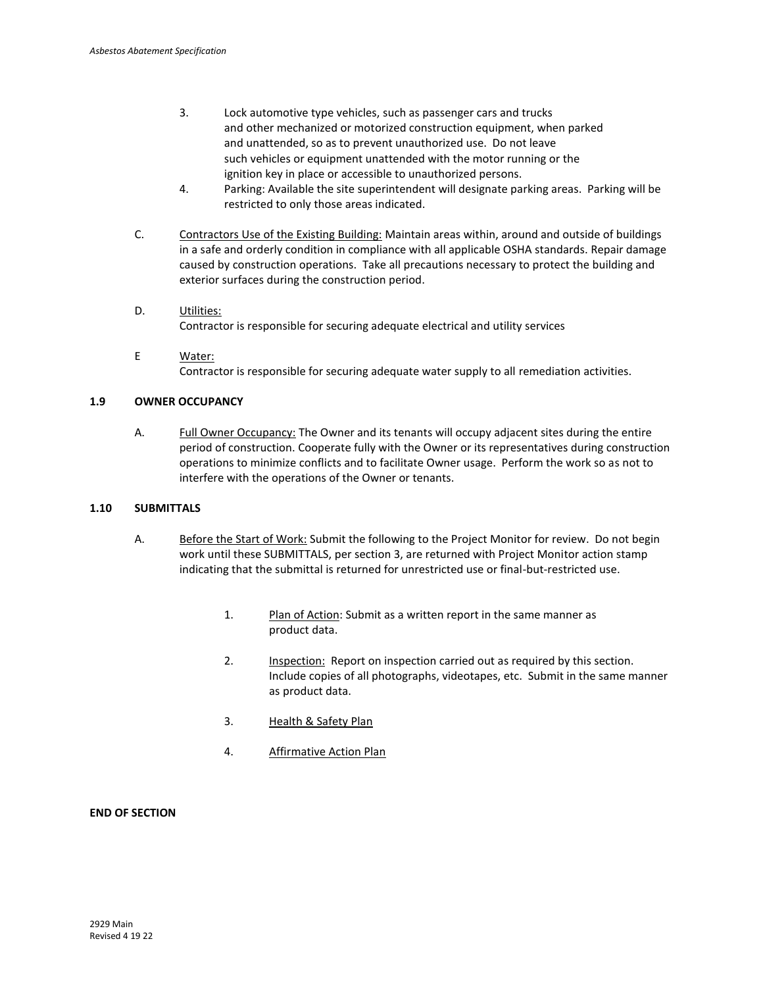- 3. Lock automotive type vehicles, such as passenger cars and trucks and other mechanized or motorized construction equipment, when parked and unattended, so as to prevent unauthorized use. Do not leave such vehicles or equipment unattended with the motor running or the ignition key in place or accessible to unauthorized persons.
- 4. Parking: Available the site superintendent will designate parking areas. Parking will be restricted to only those areas indicated.
- C. Contractors Use of the Existing Building: Maintain areas within, around and outside of buildings in a safe and orderly condition in compliance with all applicable OSHA standards. Repair damage caused by construction operations. Take all precautions necessary to protect the building and exterior surfaces during the construction period.
- D. Utilities: Contractor is responsible for securing adequate electrical and utility services
- E Water: Contractor is responsible for securing adequate water supply to all remediation activities.

## **1.9 OWNER OCCUPANCY**

A. Full Owner Occupancy: The Owner and its tenants will occupy adjacent sites during the entire period of construction. Cooperate fully with the Owner or its representatives during construction operations to minimize conflicts and to facilitate Owner usage. Perform the work so as not to interfere with the operations of the Owner or tenants.

## **1.10 SUBMITTALS**

- A. Before the Start of Work: Submit the following to the Project Monitor for review. Do not begin work until these SUBMITTALS, per section 3, are returned with Project Monitor action stamp indicating that the submittal is returned for unrestricted use or final-but-restricted use.
	- 1. Plan of Action: Submit as a written report in the same manner as product data.
	- 2. Inspection: Report on inspection carried out as required by this section. Include copies of all photographs, videotapes, etc. Submit in the same manner as product data.
	- 3. Health & Safety Plan
	- 4. Affirmative Action Plan

## **END OF SECTION**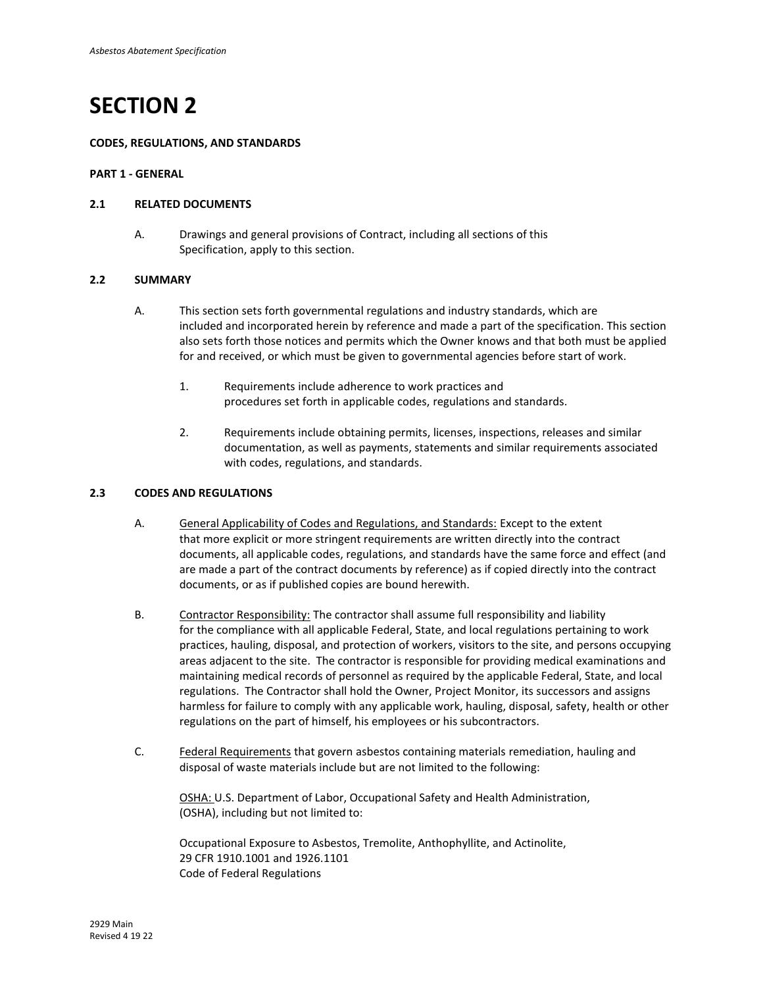#### **CODES, REGULATIONS, AND STANDARDS**

#### **PART 1 - GENERAL**

### **2.1 RELATED DOCUMENTS**

A. Drawings and general provisions of Contract, including all sections of this Specification, apply to this section.

#### **2.2 SUMMARY**

- A. This section sets forth governmental regulations and industry standards, which are included and incorporated herein by reference and made a part of the specification. This section also sets forth those notices and permits which the Owner knows and that both must be applied for and received, or which must be given to governmental agencies before start of work.
	- 1. Requirements include adherence to work practices and procedures set forth in applicable codes, regulations and standards.
	- 2. Requirements include obtaining permits, licenses, inspections, releases and similar documentation, as well as payments, statements and similar requirements associated with codes, regulations, and standards.

## **2.3 CODES AND REGULATIONS**

- A. General Applicability of Codes and Regulations, and Standards: Except to the extent that more explicit or more stringent requirements are written directly into the contract documents, all applicable codes, regulations, and standards have the same force and effect (and are made a part of the contract documents by reference) as if copied directly into the contract documents, or as if published copies are bound herewith.
- B. Contractor Responsibility: The contractor shall assume full responsibility and liability for the compliance with all applicable Federal, State, and local regulations pertaining to work practices, hauling, disposal, and protection of workers, visitors to the site, and persons occupying areas adjacent to the site. The contractor is responsible for providing medical examinations and maintaining medical records of personnel as required by the applicable Federal, State, and local regulations. The Contractor shall hold the Owner, Project Monitor, its successors and assigns harmless for failure to comply with any applicable work, hauling, disposal, safety, health or other regulations on the part of himself, his employees or his subcontractors.
- C. Federal Requirements that govern asbestos containing materials remediation, hauling and disposal of waste materials include but are not limited to the following:

OSHA: U.S. Department of Labor, Occupational Safety and Health Administration, (OSHA), including but not limited to:

Occupational Exposure to Asbestos, Tremolite, Anthophyllite, and Actinolite, 29 CFR 1910.1001 and 1926.1101 Code of Federal Regulations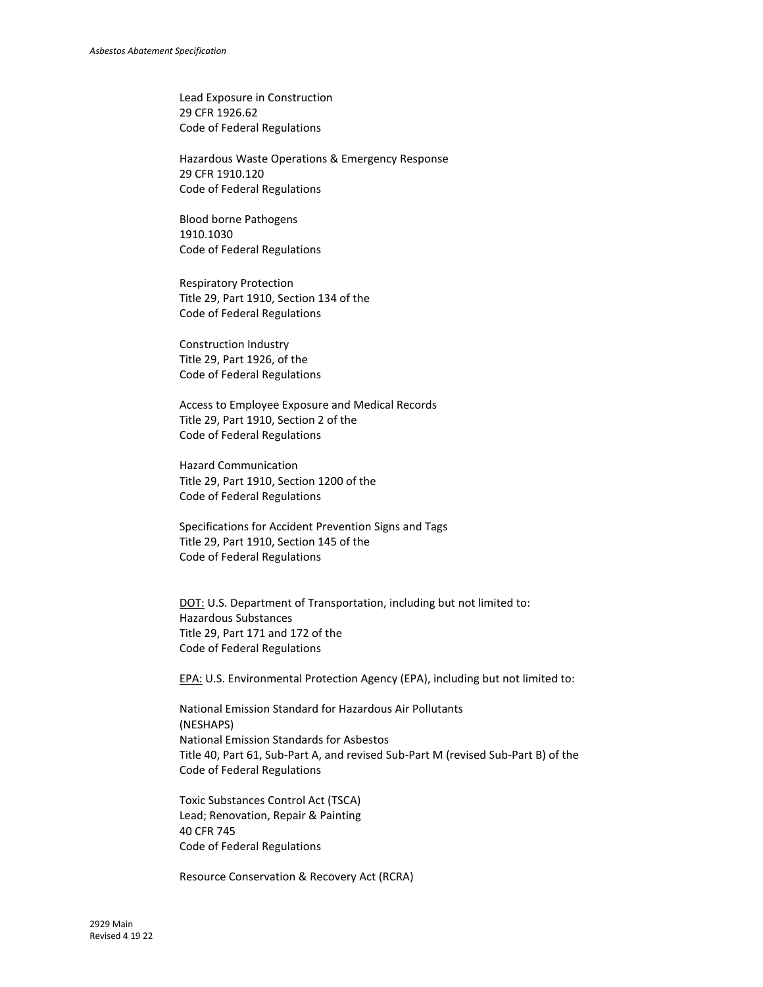Lead Exposure in Construction 29 CFR 1926.62 Code of Federal Regulations

Hazardous Waste Operations & Emergency Response 29 CFR 1910.120 Code of Federal Regulations

Blood borne Pathogens 1910.1030 Code of Federal Regulations

Respiratory Protection Title 29, Part 1910, Section 134 of the Code of Federal Regulations

Construction Industry Title 29, Part 1926, of the Code of Federal Regulations

Access to Employee Exposure and Medical Records Title 29, Part 1910, Section 2 of the Code of Federal Regulations

Hazard Communication Title 29, Part 1910, Section 1200 of the Code of Federal Regulations

Specifications for Accident Prevention Signs and Tags Title 29, Part 1910, Section 145 of the Code of Federal Regulations

DOT: U.S. Department of Transportation, including but not limited to: Hazardous Substances Title 29, Part 171 and 172 of the Code of Federal Regulations

EPA: U.S. Environmental Protection Agency (EPA), including but not limited to:

National Emission Standard for Hazardous Air Pollutants (NESHAPS) National Emission Standards for Asbestos Title 40, Part 61, Sub-Part A, and revised Sub-Part M (revised Sub-Part B) of the Code of Federal Regulations

Toxic Substances Control Act (TSCA) Lead; Renovation, Repair & Painting 40 CFR 745 Code of Federal Regulations

Resource Conservation & Recovery Act (RCRA)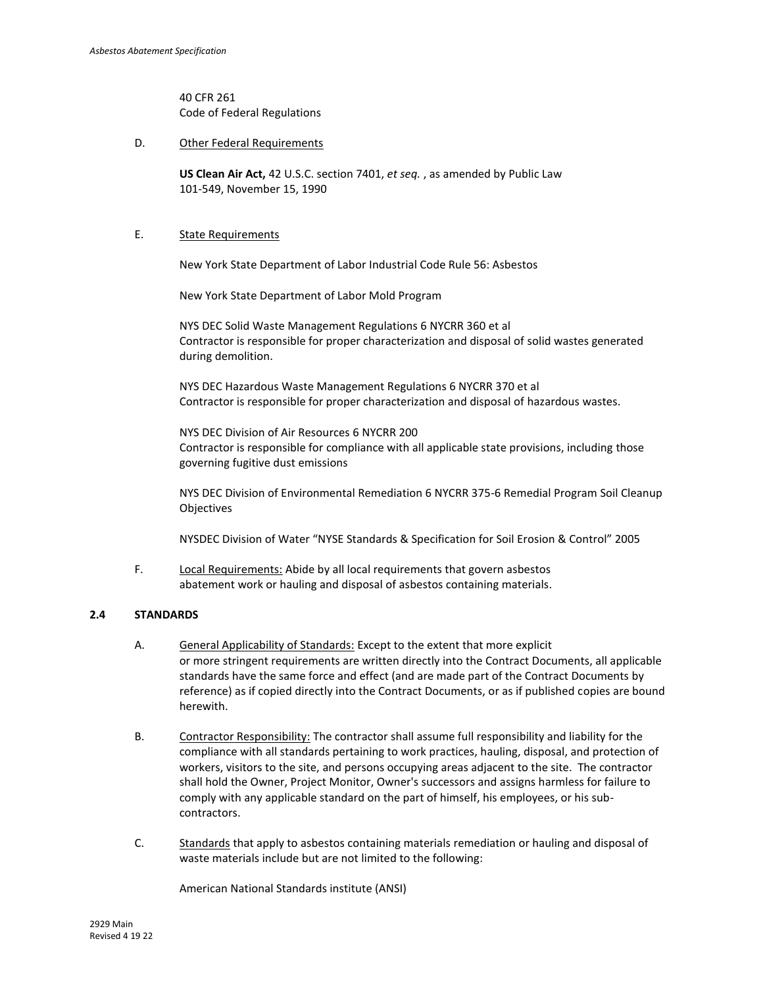40 CFR 261 Code of Federal Regulations

D. Other Federal Requirements

**US Clean Air Act,** 42 U.S.C. section 7401, *et seq.* , as amended by Public Law 101-549, November 15, 1990

## E. State Requirements

New York State Department of Labor Industrial Code Rule 56: Asbestos

New York State Department of Labor Mold Program

NYS DEC Solid Waste Management Regulations 6 NYCRR 360 et al Contractor is responsible for proper characterization and disposal of solid wastes generated during demolition.

NYS DEC Hazardous Waste Management Regulations 6 NYCRR 370 et al Contractor is responsible for proper characterization and disposal of hazardous wastes.

NYS DEC Division of Air Resources 6 NYCRR 200 Contractor is responsible for compliance with all applicable state provisions, including those governing fugitive dust emissions

NYS DEC Division of Environmental Remediation 6 NYCRR 375-6 Remedial Program Soil Cleanup Objectives

NYSDEC Division of Water "NYSE Standards & Specification for Soil Erosion & Control" 2005

F. Local Requirements: Abide by all local requirements that govern asbestos abatement work or hauling and disposal of asbestos containing materials.

## **2.4 STANDARDS**

- A. General Applicability of Standards: Except to the extent that more explicit or more stringent requirements are written directly into the Contract Documents, all applicable standards have the same force and effect (and are made part of the Contract Documents by reference) as if copied directly into the Contract Documents, or as if published copies are bound herewith.
- B. Contractor Responsibility: The contractor shall assume full responsibility and liability for the compliance with all standards pertaining to work practices, hauling, disposal, and protection of workers, visitors to the site, and persons occupying areas adjacent to the site. The contractor shall hold the Owner, Project Monitor, Owner's successors and assigns harmless for failure to comply with any applicable standard on the part of himself, his employees, or his subcontractors.
- C. Standards that apply to asbestos containing materials remediation or hauling and disposal of waste materials include but are not limited to the following:

American National Standards institute (ANSI)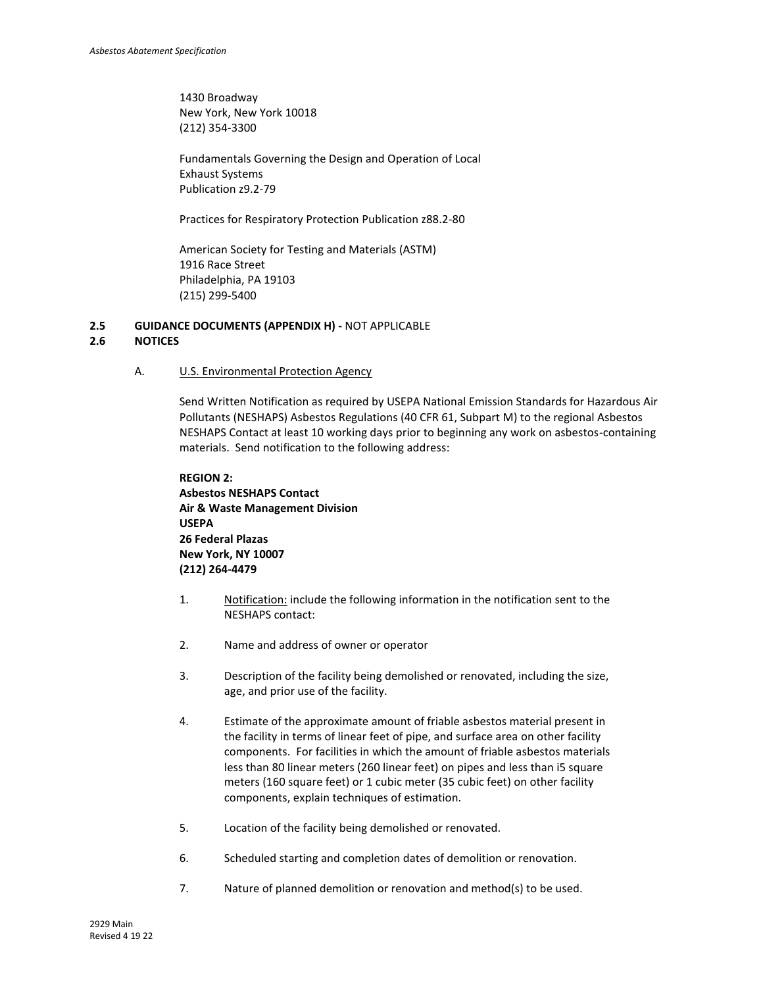1430 Broadway New York, New York 10018 (212) 354-3300

Fundamentals Governing the Design and Operation of Local Exhaust Systems Publication z9.2-79

Practices for Respiratory Protection Publication z88.2-80

American Society for Testing and Materials (ASTM) 1916 Race Street Philadelphia, PA 19103 (215) 299-5400

## **2.5 GUIDANCE DOCUMENTS (APPENDIX H) -** NOT APPLICABLE

## **2.6 NOTICES**

A. U.S. Environmental Protection Agency

Send Written Notification as required by USEPA National Emission Standards for Hazardous Air Pollutants (NESHAPS) Asbestos Regulations (40 CFR 61, Subpart M) to the regional Asbestos NESHAPS Contact at least 10 working days prior to beginning any work on asbestos-containing materials. Send notification to the following address:

```
REGION 2:
Asbestos NESHAPS Contact
Air & Waste Management Division
USEPA
26 Federal Plazas
New York, NY 10007
(212) 264-4479
```
- 1. Notification: include the following information in the notification sent to the NESHAPS contact:
- 2. Name and address of owner or operator
- 3. Description of the facility being demolished or renovated, including the size, age, and prior use of the facility.
- 4. Estimate of the approximate amount of friable asbestos material present in the facility in terms of linear feet of pipe, and surface area on other facility components. For facilities in which the amount of friable asbestos materials less than 80 linear meters (260 linear feet) on pipes and less than i5 square meters (160 square feet) or 1 cubic meter (35 cubic feet) on other facility components, explain techniques of estimation.
- 5. Location of the facility being demolished or renovated.
- 6. Scheduled starting and completion dates of demolition or renovation.
- 7. Nature of planned demolition or renovation and method(s) to be used.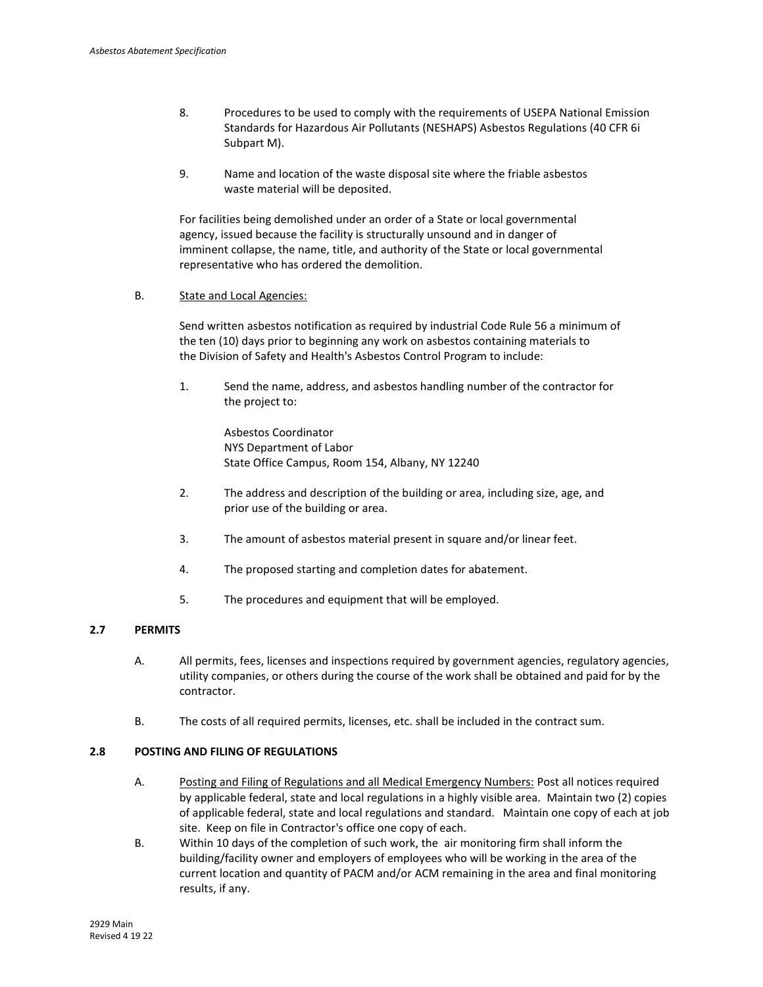- 8. Procedures to be used to comply with the requirements of USEPA National Emission Standards for Hazardous Air Pollutants (NESHAPS) Asbestos Regulations (40 CFR 6i Subpart M).
- 9. Name and location of the waste disposal site where the friable asbestos waste material will be deposited.

For facilities being demolished under an order of a State or local governmental agency, issued because the facility is structurally unsound and in danger of imminent collapse, the name, title, and authority of the State or local governmental representative who has ordered the demolition.

## B. State and Local Agencies:

Send written asbestos notification as required by industrial Code Rule 56 a minimum of the ten (10) days prior to beginning any work on asbestos containing materials to the Division of Safety and Health's Asbestos Control Program to include:

1. Send the name, address, and asbestos handling number of the contractor for the project to:

> Asbestos Coordinator NYS Department of Labor State Office Campus, Room 154, Albany, NY 12240

- 2. The address and description of the building or area, including size, age, and prior use of the building or area.
- 3. The amount of asbestos material present in square and/or linear feet.
- 4. The proposed starting and completion dates for abatement.
- 5. The procedures and equipment that will be employed.

## **2.7 PERMITS**

- A. All permits, fees, licenses and inspections required by government agencies, regulatory agencies, utility companies, or others during the course of the work shall be obtained and paid for by the contractor.
- B. The costs of all required permits, licenses, etc. shall be included in the contract sum.

## **2.8 POSTING AND FILING OF REGULATIONS**

- A. Posting and Filing of Regulations and all Medical Emergency Numbers: Post all notices required by applicable federal, state and local regulations in a highly visible area. Maintain two (2) copies of applicable federal, state and local regulations and standard. Maintain one copy of each at job site. Keep on file in Contractor's office one copy of each.
- B. Within 10 days of the completion of such work, the air monitoring firm shall inform the building/facility owner and employers of employees who will be working in the area of the current location and quantity of PACM and/or ACM remaining in the area and final monitoring results, if any.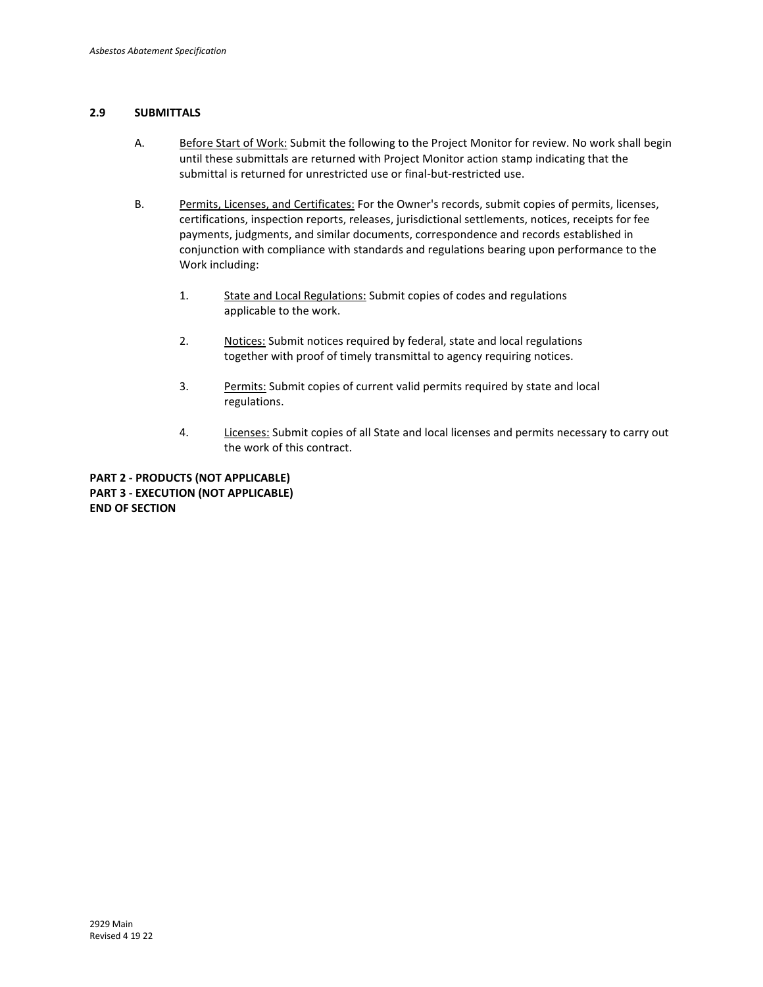## **2.9 SUBMITTALS**

- A. Before Start of Work: Submit the following to the Project Monitor for review. No work shall begin until these submittals are returned with Project Monitor action stamp indicating that the submittal is returned for unrestricted use or final-but-restricted use.
- B. Permits, Licenses, and Certificates: For the Owner's records, submit copies of permits, licenses, certifications, inspection reports, releases, jurisdictional settlements, notices, receipts for fee payments, judgments, and similar documents, correspondence and records established in conjunction with compliance with standards and regulations bearing upon performance to the Work including:
	- 1. State and Local Regulations: Submit copies of codes and regulations applicable to the work.
	- 2. Notices: Submit notices required by federal, state and local regulations together with proof of timely transmittal to agency requiring notices.
	- 3. Permits: Submit copies of current valid permits required by state and local regulations.
	- 4. Licenses: Submit copies of all State and local licenses and permits necessary to carry out the work of this contract.

**PART 2 - PRODUCTS (NOT APPLICABLE) PART 3 - EXECUTION (NOT APPLICABLE) END OF SECTION**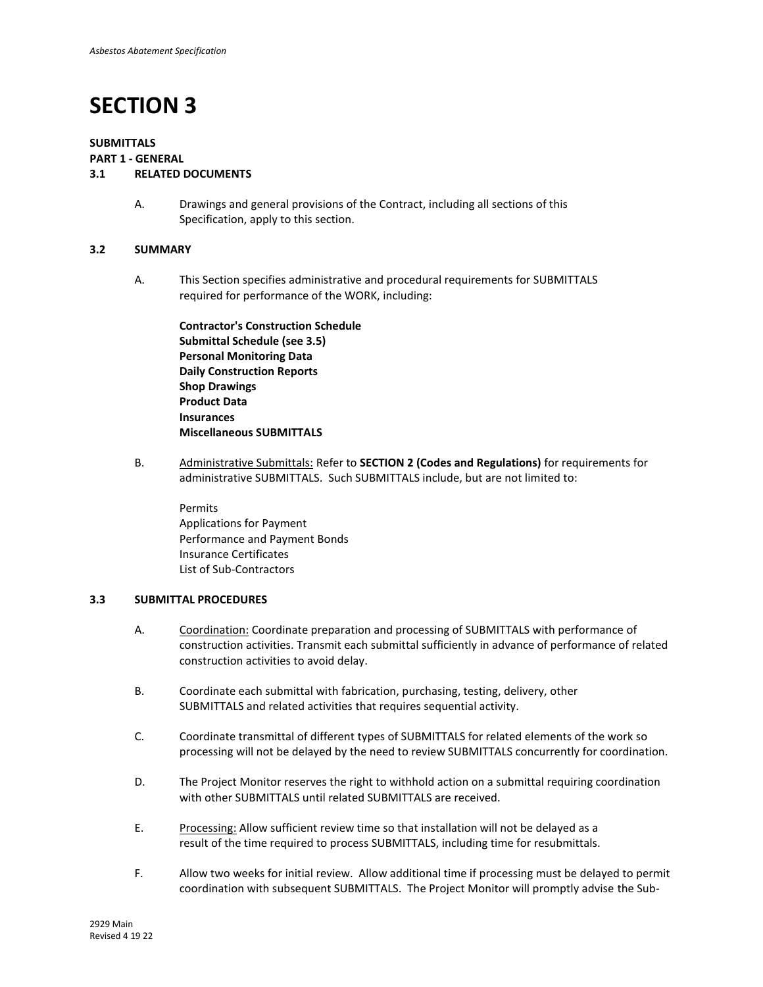## **SUBMITTALS**

#### **PART 1 - GENERAL**

## **3.1 RELATED DOCUMENTS**

A. Drawings and general provisions of the Contract, including all sections of this Specification, apply to this section.

### **3.2 SUMMARY**

A. This Section specifies administrative and procedural requirements for SUBMITTALS required for performance of the WORK, including:

**Contractor's Construction Schedule Submittal Schedule (see 3.5) Personal Monitoring Data Daily Construction Reports Shop Drawings Product Data Insurances Miscellaneous SUBMITTALS**

B. Administrative Submittals: Refer to **SECTION 2 (Codes and Regulations)** for requirements for administrative SUBMITTALS. Such SUBMITTALS include, but are not limited to:

Permits Applications for Payment Performance and Payment Bonds Insurance Certificates List of Sub-Contractors

## **3.3 SUBMITTAL PROCEDURES**

- A. Coordination: Coordinate preparation and processing of SUBMITTALS with performance of construction activities. Transmit each submittal sufficiently in advance of performance of related construction activities to avoid delay.
- B. Coordinate each submittal with fabrication, purchasing, testing, delivery, other SUBMITTALS and related activities that requires sequential activity.
- C. Coordinate transmittal of different types of SUBMITTALS for related elements of the work so processing will not be delayed by the need to review SUBMITTALS concurrently for coordination.
- D. The Project Monitor reserves the right to withhold action on a submittal requiring coordination with other SUBMITTALS until related SUBMITTALS are received.
- E. Processing: Allow sufficient review time so that installation will not be delayed as a result of the time required to process SUBMITTALS, including time for resubmittals.
- F. Allow two weeks for initial review. Allow additional time if processing must be delayed to permit coordination with subsequent SUBMITTALS. The Project Monitor will promptly advise the Sub-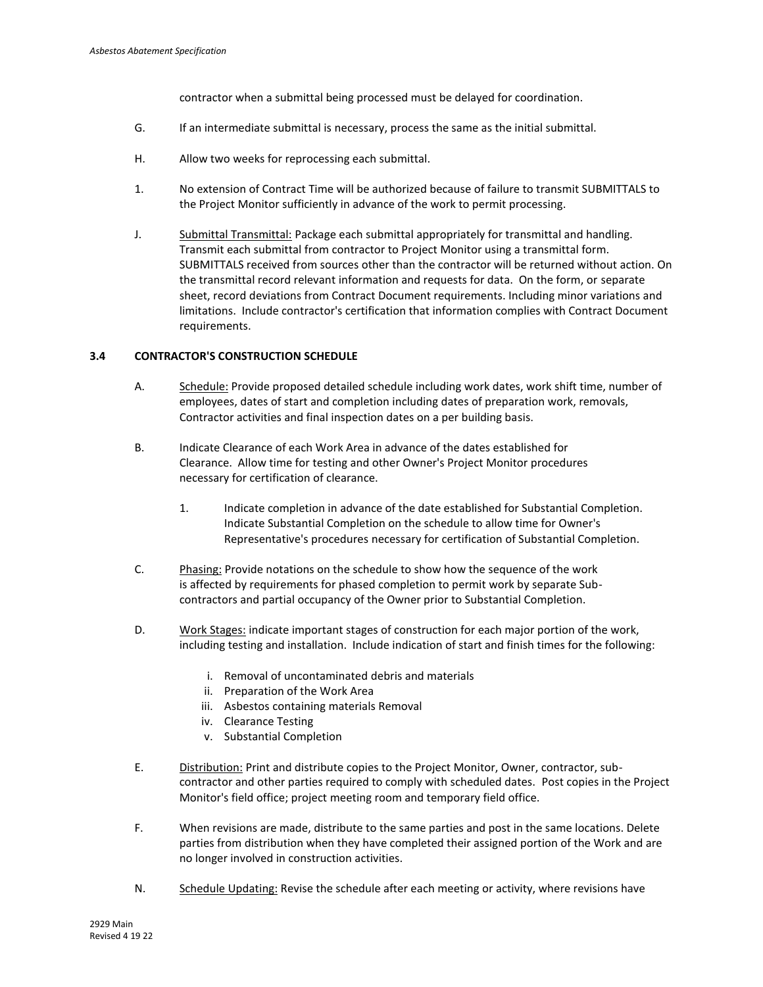contractor when a submittal being processed must be delayed for coordination.

- G. If an intermediate submittal is necessary, process the same as the initial submittal.
- H. Allow two weeks for reprocessing each submittal.
- 1. No extension of Contract Time will be authorized because of failure to transmit SUBMITTALS to the Project Monitor sufficiently in advance of the work to permit processing.
- J. Submittal Transmittal: Package each submittal appropriately for transmittal and handling. Transmit each submittal from contractor to Project Monitor using a transmittal form. SUBMITTALS received from sources other than the contractor will be returned without action. On the transmittal record relevant information and requests for data. On the form, or separate sheet, record deviations from Contract Document requirements. Including minor variations and limitations. Include contractor's certification that information complies with Contract Document requirements.

## **3.4 CONTRACTOR'S CONSTRUCTION SCHEDULE**

- A. Schedule: Provide proposed detailed schedule including work dates, work shift time, number of employees, dates of start and completion including dates of preparation work, removals, Contractor activities and final inspection dates on a per building basis.
- B. Indicate Clearance of each Work Area in advance of the dates established for Clearance. Allow time for testing and other Owner's Project Monitor procedures necessary for certification of clearance.
	- 1. Indicate completion in advance of the date established for Substantial Completion. Indicate Substantial Completion on the schedule to allow time for Owner's Representative's procedures necessary for certification of Substantial Completion.
- C. Phasing: Provide notations on the schedule to show how the sequence of the work is affected by requirements for phased completion to permit work by separate Subcontractors and partial occupancy of the Owner prior to Substantial Completion.
- D. Work Stages: indicate important stages of construction for each major portion of the work, including testing and installation. Include indication of start and finish times for the following:
	- i. Removal of uncontaminated debris and materials
	- ii. Preparation of the Work Area
	- iii. Asbestos containing materials Removal
	- iv. Clearance Testing
	- v. Substantial Completion
- E. Distribution: Print and distribute copies to the Project Monitor, Owner, contractor, subcontractor and other parties required to comply with scheduled dates. Post copies in the Project Monitor's field office; project meeting room and temporary field office.
- F. When revisions are made, distribute to the same parties and post in the same locations. Delete parties from distribution when they have completed their assigned portion of the Work and are no longer involved in construction activities.
- N. Schedule Updating: Revise the schedule after each meeting or activity, where revisions have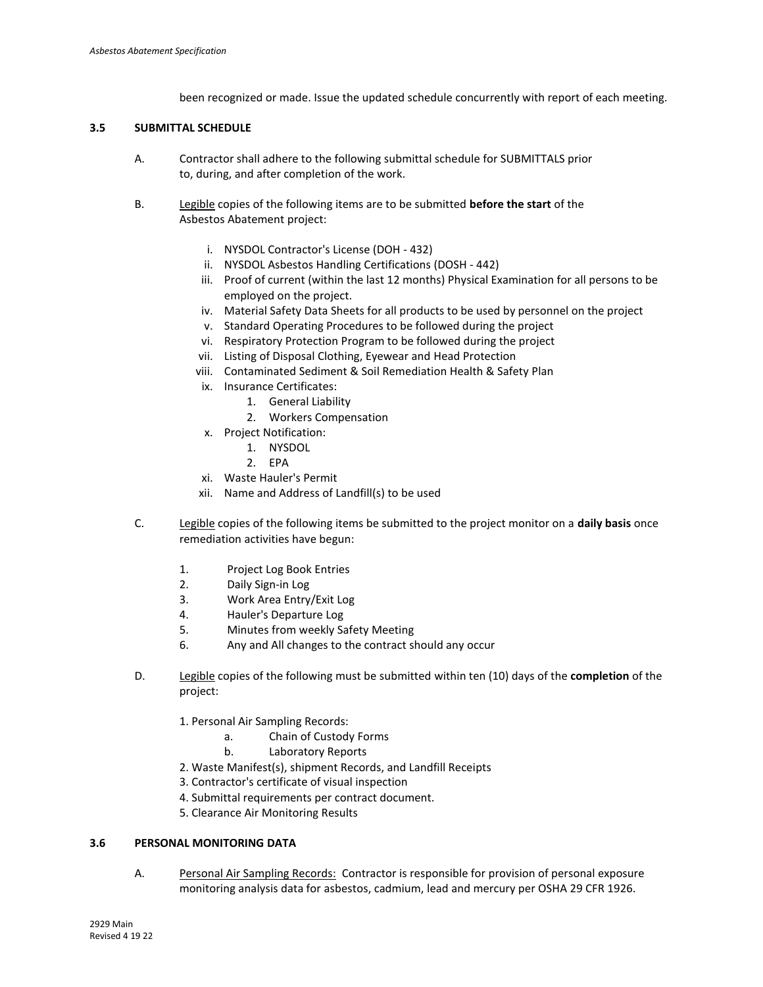been recognized or made. Issue the updated schedule concurrently with report of each meeting.

## **3.5 SUBMITTAL SCHEDULE**

- A. Contractor shall adhere to the following submittal schedule for SUBMITTALS prior to, during, and after completion of the work.
- B. Legible copies of the following items are to be submitted **before the start** of the Asbestos Abatement project:
	- i. NYSDOL Contractor's License (DOH 432)
	- ii. NYSDOL Asbestos Handling Certifications (DOSH 442)
	- iii. Proof of current (within the last 12 months) Physical Examination for all persons to be employed on the project.
	- iv. Material Safety Data Sheets for all products to be used by personnel on the project
	- v. Standard Operating Procedures to be followed during the project
	- vi. Respiratory Protection Program to be followed during the project
	- vii. Listing of Disposal Clothing, Eyewear and Head Protection
	- viii. Contaminated Sediment & Soil Remediation Health & Safety Plan
	- ix. Insurance Certificates:
		- 1. General Liability
		- 2. Workers Compensation
	- x. Project Notification:
		- 1. NYSDOL
		- 2. EPA
	- xi. Waste Hauler's Permit
	- xii. Name and Address of Landfill(s) to be used
- C. Legible copies of the following items be submitted to the project monitor on a **daily basis** once remediation activities have begun:
	- 1. Project Log Book Entries
	- 2. Daily Sign-in Log
	- 3. Work Area Entry/Exit Log
	- 4. Hauler's Departure Log
	- 5. Minutes from weekly Safety Meeting
	- 6. Any and All changes to the contract should any occur
- D. Legible copies of the following must be submitted within ten (10) days of the **completion** of the project:
	- 1. Personal Air Sampling Records:
		- a. Chain of Custody Forms
		- b. Laboratory Reports
	- 2. Waste Manifest(s), shipment Records, and Landfill Receipts
	- 3. Contractor's certificate of visual inspection
	- 4. Submittal requirements per contract document.
	- 5. Clearance Air Monitoring Results

## **3.6 PERSONAL MONITORING DATA**

A. Personal Air Sampling Records: Contractor is responsible for provision of personal exposure monitoring analysis data for asbestos, cadmium, lead and mercury per OSHA 29 CFR 1926.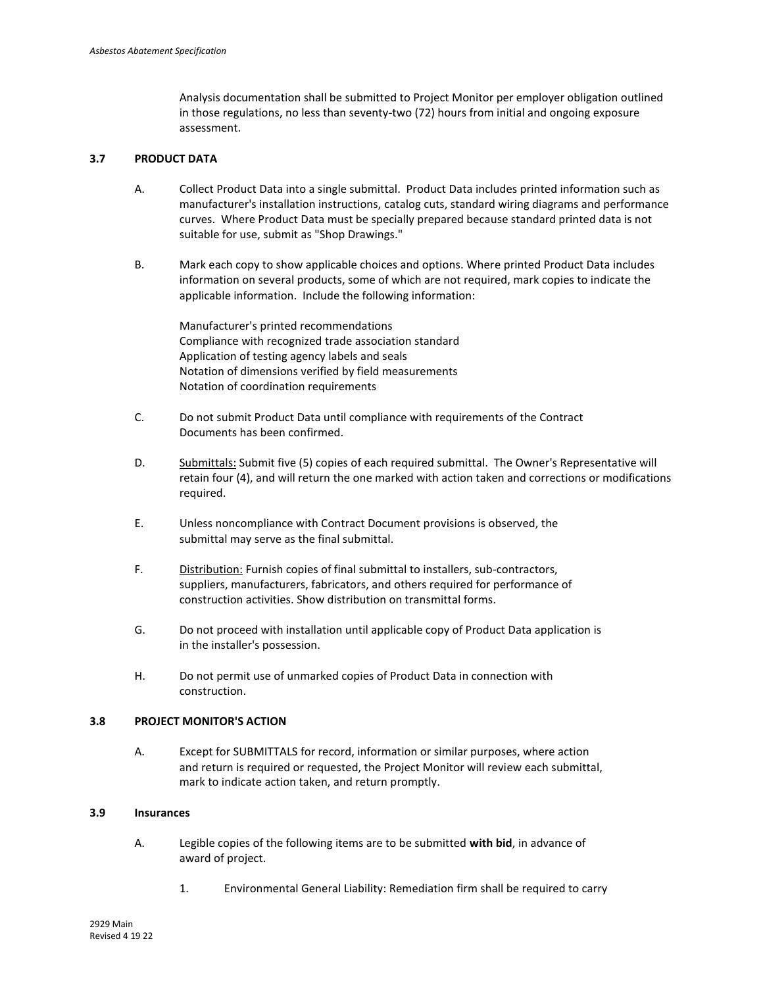Analysis documentation shall be submitted to Project Monitor per employer obligation outlined in those regulations, no less than seventy-two (72) hours from initial and ongoing exposure assessment.

## **3.7 PRODUCT DATA**

- A. Collect Product Data into a single submittal. Product Data includes printed information such as manufacturer's installation instructions, catalog cuts, standard wiring diagrams and performance curves.Where Product Data must be specially prepared because standard printed data is not suitable for use, submit as "Shop Drawings."
- B. Mark each copy to show applicable choices and options. Where printed Product Data includes information on several products, some of which are not required, mark copies to indicate the applicable information. Include the following information:

Manufacturer's printed recommendations Compliance with recognized trade association standard Application of testing agency labels and seals Notation of dimensions verified by field measurements Notation of coordination requirements

- C. Do not submit Product Data until compliance with requirements of the Contract Documents has been confirmed.
- D. Submittals: Submit five (5) copies of each required submittal. The Owner's Representative will retain four (4), and will return the one marked with action taken and corrections or modifications required.
- E. Unless noncompliance with Contract Document provisions is observed, the submittal may serve as the final submittal.
- F. Distribution: Furnish copies of final submittal to installers, sub-contractors, suppliers, manufacturers, fabricators, and others required for performance of construction activities. Show distribution on transmittal forms.
- G. Do not proceed with installation until applicable copy of Product Data application is in the installer's possession.
- H. Do not permit use of unmarked copies of Product Data in connection with construction.

## **3.8 PROJECT MONITOR'S ACTION**

A. Except for SUBMITTALS for record, information or similar purposes, where action and return is required or requested, the Project Monitor will review each submittal, mark to indicate action taken, and return promptly.

### **3.9 Insurances**

- A. Legible copies of the following items are to be submitted **with bid**, in advance of award of project.
	- 1. Environmental General Liability: Remediation firm shall be required to carry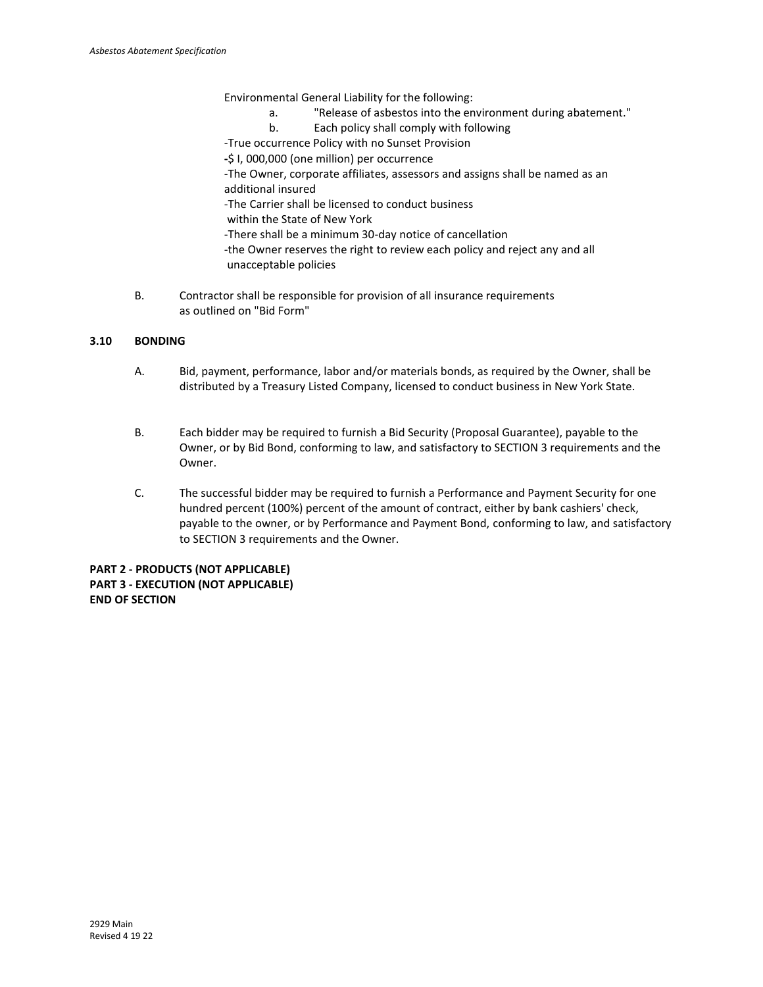Environmental General Liability for the following:

- a. "Release of asbestos into the environment during abatement."
- b. Each policy shall comply with following
- -True occurrence Policy with no Sunset Provision
- **-**\$ I, 000,000 (one million) per occurrence
- -The Owner, corporate affiliates, assessors and assigns shall be named as an additional insured
- -The Carrier shall be licensed to conduct business
- within the State of New York
- -There shall be a minimum 30-day notice of cancellation
- -the Owner reserves the right to review each policy and reject any and all unacceptable policies
- B. Contractor shall be responsible for provision of all insurance requirements as outlined on "Bid Form"

## **3.10 BONDING**

- A. Bid, payment, performance, labor and/or materials bonds, as required by the Owner, shall be distributed by a Treasury Listed Company, licensed to conduct business in New York State.
- B. Each bidder may be required to furnish a Bid Security (Proposal Guarantee), payable to the Owner, or by Bid Bond, conforming to law, and satisfactory to SECTION 3 requirements and the Owner.
- C. The successful bidder may be required to furnish a Performance and Payment Security for one hundred percent (100%) percent of the amount of contract, either by bank cashiers' check, payable to the owner, or by Performance and Payment Bond, conforming to law, and satisfactory to SECTION 3 requirements and the Owner.

**PART 2 - PRODUCTS (NOT APPLICABLE) PART 3 - EXECUTION (NOT APPLICABLE) END OF SECTION**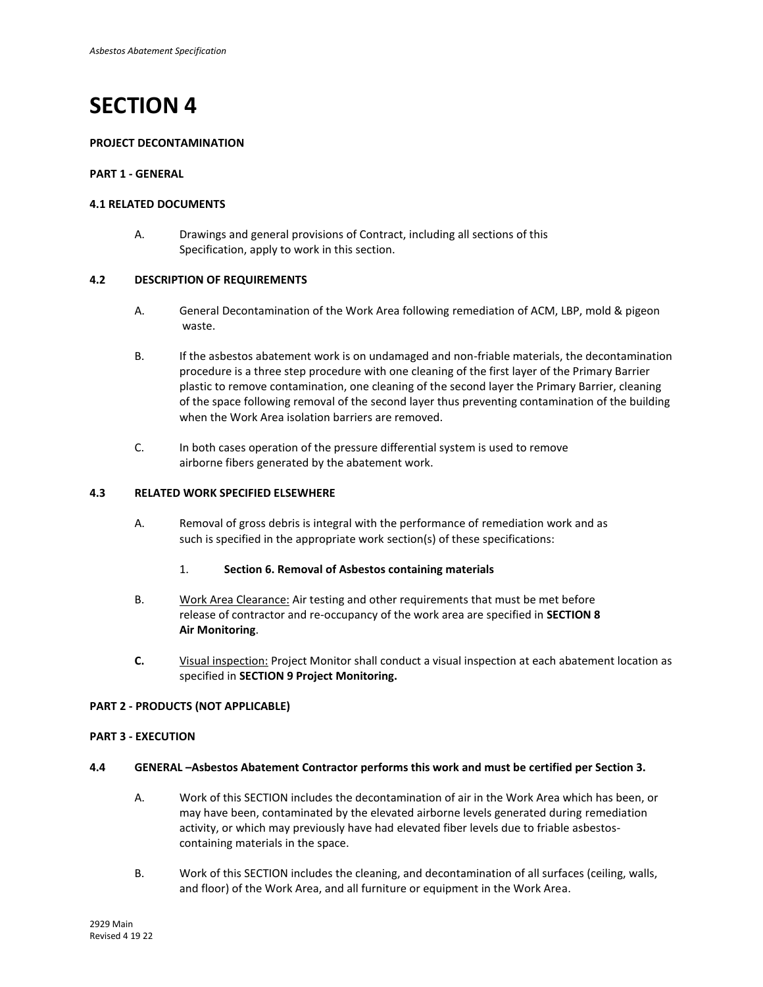## **PROJECT DECONTAMINATION**

## **PART 1 - GENERAL**

### **4.1 RELATED DOCUMENTS**

A. Drawings and general provisions of Contract, including all sections of this Specification, apply to work in this section.

### **4.2 DESCRIPTION OF REQUIREMENTS**

- A. General Decontamination of the Work Area following remediation of ACM, LBP, mold & pigeon waste.
- B. If the asbestos abatement work is on undamaged and non-friable materials, the decontamination procedure is a three step procedure with one cleaning of the first layer of the Primary Barrier plastic to remove contamination, one cleaning of the second layer the Primary Barrier, cleaning of the space following removal of the second layer thus preventing contamination of the building when the Work Area isolation barriers are removed.
- C. In both cases operation of the pressure differential system is used to remove airborne fibers generated by the abatement work.

## **4.3 RELATED WORK SPECIFIED ELSEWHERE**

- A. Removal of gross debris is integral with the performance of remediation work and as such is specified in the appropriate work section(s) of these specifications:
	- 1. **Section 6. Removal of Asbestos containing materials**
- B. Work Area Clearance: Air testing and other requirements that must be met before release of contractor and re-occupancy of the work area are specified in **SECTION 8 Air Monitoring**.
- **C.** Visual inspection: Project Monitor shall conduct a visual inspection at each abatement location as specified in **SECTION 9 Project Monitoring.**

### **PART 2 - PRODUCTS (NOT APPLICABLE)**

#### **PART 3 - EXECUTION**

#### **4.4 GENERAL –Asbestos Abatement Contractor performs this work and must be certified per Section 3.**

- A. Work of this SECTION includes the decontamination of air in the Work Area which has been, or may have been, contaminated by the elevated airborne levels generated during remediation activity, or which may previously have had elevated fiber levels due to friable asbestoscontaining materials in the space.
- B. Work of this SECTION includes the cleaning, and decontamination of all surfaces (ceiling, walls, and floor) of the Work Area, and all furniture or equipment in the Work Area.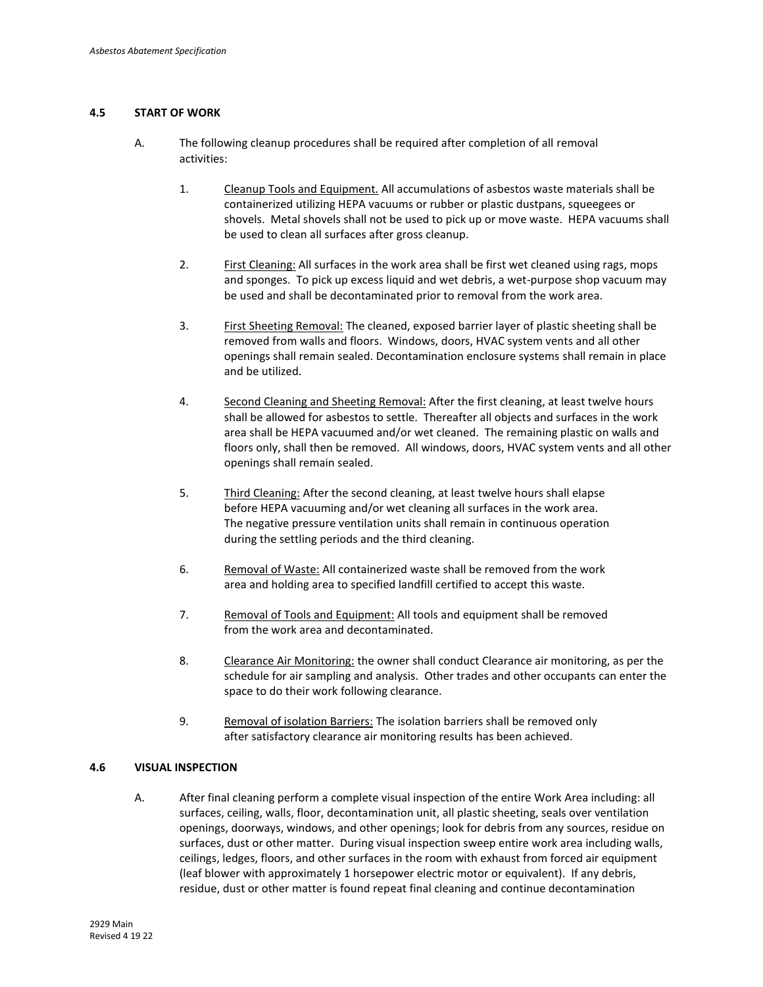## **4.5 START OF WORK**

- A. The following cleanup procedures shall be required after completion of all removal activities:
	- 1. Cleanup Tools and Equipment. All accumulations of asbestos waste materials shall be containerized utilizing HEPA vacuums or rubber or plastic dustpans, squeegees or shovels. Metal shovels shall not be used to pick up or move waste. HEPA vacuums shall be used to clean all surfaces after gross cleanup.
	- 2. First Cleaning: All surfaces in the work area shall be first wet cleaned using rags, mops and sponges. To pick up excess liquid and wet debris, a wet-purpose shop vacuum may be used and shall be decontaminated prior to removal from the work area.
	- 3. First Sheeting Removal: The cleaned, exposed barrier layer of plastic sheeting shall be removed from walls and floors. Windows, doors, HVAC system vents and all other openings shall remain sealed. Decontamination enclosure systems shall remain in place and be utilized.
	- 4. Second Cleaning and Sheeting Removal: After the first cleaning, at least twelve hours shall be allowed for asbestos to settle. Thereafter all objects and surfaces in the work area shall be HEPA vacuumed and/or wet cleaned. The remaining plastic on walls and floors only, shall then be removed. All windows, doors, HVAC system vents and all other openings shall remain sealed.
	- 5. Third Cleaning: After the second cleaning, at least twelve hours shall elapse before HEPA vacuuming and/or wet cleaning all surfaces in the work area. The negative pressure ventilation units shall remain in continuous operation during the settling periods and the third cleaning.
	- 6. Removal of Waste: All containerized waste shall be removed from the work area and holding area to specified landfill certified to accept this waste.
	- 7. Removal of Tools and Equipment: All tools and equipment shall be removed from the work area and decontaminated.
	- 8. Clearance Air Monitoring: the owner shall conduct Clearance air monitoring, as per the schedule for air sampling and analysis. Other trades and other occupants can enter the space to do their work following clearance.
	- 9. Removal of isolation Barriers: The isolation barriers shall be removed only after satisfactory clearance air monitoring results has been achieved.

#### **4.6 VISUAL INSPECTION**

A. After final cleaning perform a complete visual inspection of the entire Work Area including: all surfaces, ceiling, walls, floor, decontamination unit, all plastic sheeting, seals over ventilation openings, doorways, windows, and other openings; look for debris from any sources, residue on surfaces, dust or other matter. During visual inspection sweep entire work area including walls, ceilings, ledges, floors, and other surfaces in the room with exhaust from forced air equipment (leaf blower with approximately 1 horsepower electric motor or equivalent). If any debris, residue, dust or other matter is found repeat final cleaning and continue decontamination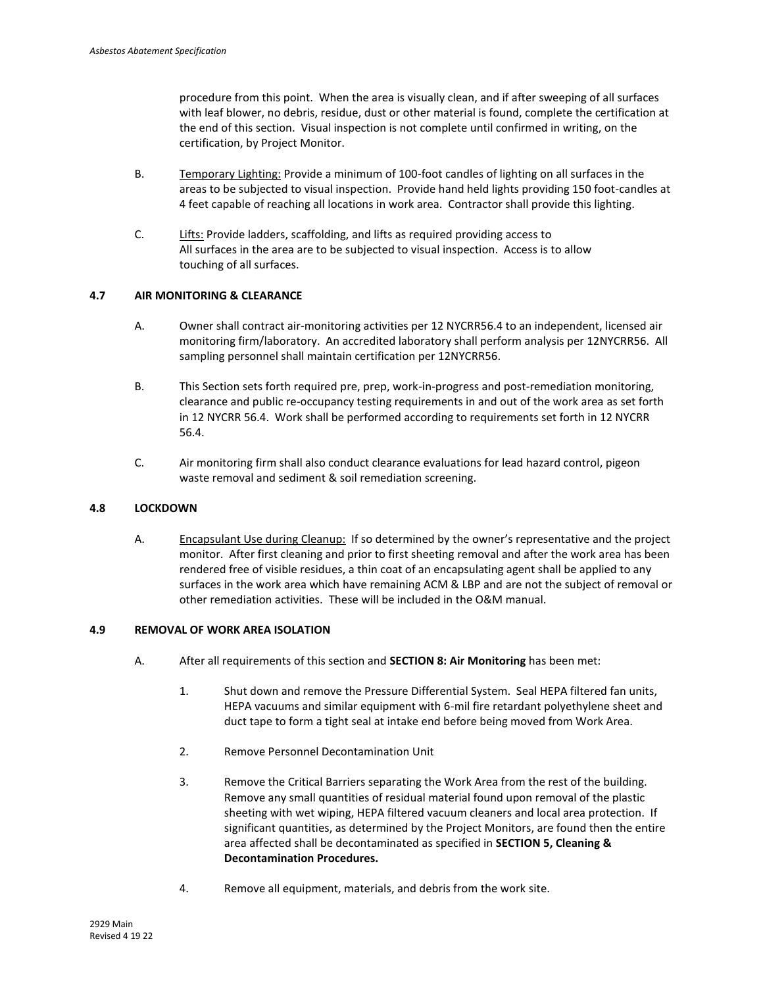procedure from this point. When the area is visually clean, and if after sweeping of all surfaces with leaf blower, no debris, residue, dust or other material is found, complete the certification at the end of this section. Visual inspection is not complete until confirmed in writing, on the certification, by Project Monitor.

- B. Temporary Lighting: Provide a minimum of 100-foot candles of lighting on all surfaces in the areas to be subjected to visual inspection. Provide hand held lights providing 150 foot-candles at 4 feet capable of reaching all locations in work area. Contractor shall provide this lighting.
- C. Lifts: Provide ladders, scaffolding, and lifts as required providing access to All surfaces in the area are to be subjected to visual inspection. Access is to allow touching of all surfaces.

## **4.7 AIR MONITORING & CLEARANCE**

- A. Owner shall contract air-monitoring activities per 12 NYCRR56.4 to an independent, licensed air monitoring firm/laboratory. An accredited laboratory shall perform analysis per 12NYCRR56. All sampling personnel shall maintain certification per 12NYCRR56.
- B. This Section sets forth required pre, prep, work-in-progress and post-remediation monitoring, clearance and public re-occupancy testing requirements in and out of the work area as set forth in 12 NYCRR 56.4. Work shall be performed according to requirements set forth in 12 NYCRR 56.4.
- C. Air monitoring firm shall also conduct clearance evaluations for lead hazard control, pigeon waste removal and sediment & soil remediation screening.

### **4.8 LOCKDOWN**

A. Encapsulant Use during Cleanup: If so determined by the owner's representative and the project monitor. After first cleaning and prior to first sheeting removal and after the work area has been rendered free of visible residues, a thin coat of an encapsulating agent shall be applied to any surfaces in the work area which have remaining ACM & LBP and are not the subject of removal or other remediation activities. These will be included in the O&M manual.

## **4.9 REMOVAL OF WORK AREA ISOLATION**

- A. After all requirements of this section and **SECTION 8: Air Monitoring** has been met:
	- 1. Shut down and remove the Pressure Differential System. Seal HEPA filtered fan units, HEPA vacuums and similar equipment with 6-mil fire retardant polyethylene sheet and duct tape to form a tight seal at intake end before being moved from Work Area.
	- 2. Remove Personnel Decontamination Unit
	- 3. Remove the Critical Barriers separating the Work Area from the rest of the building. Remove any small quantities of residual material found upon removal of the plastic sheeting with wet wiping, HEPA filtered vacuum cleaners and local area protection. If significant quantities, as determined by the Project Monitors, are found then the entire area affected shall be decontaminated as specified in **SECTION 5, Cleaning & Decontamination Procedures.**
	- 4. Remove all equipment, materials, and debris from the work site.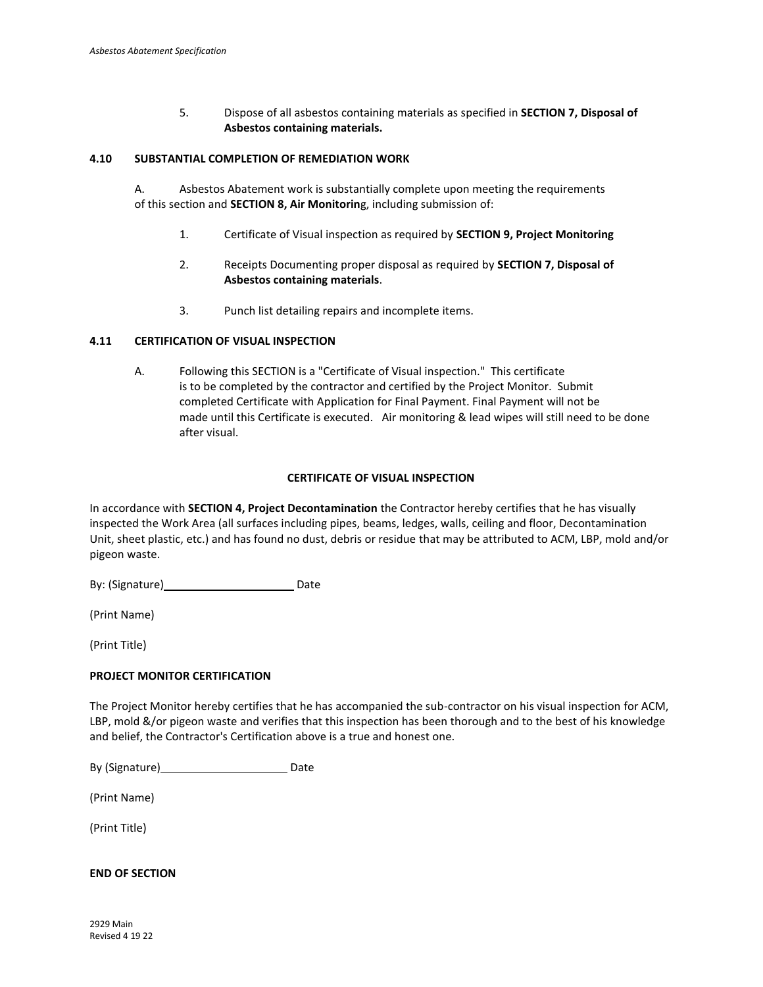5. Dispose of all asbestos containing materials as specified in **SECTION 7, Disposal of Asbestos containing materials.**

#### **4.10 SUBSTANTIAL COMPLETION OF REMEDIATION WORK**

A. Asbestos Abatement work is substantially complete upon meeting the requirements of this section and **SECTION 8, Air Monitorin**g, including submission of:

- 1. Certificate of Visual inspection as required by **SECTION 9, Project Monitoring**
- 2. Receipts Documenting proper disposal as required by **SECTION 7, Disposal of Asbestos containing materials**.
- 3. Punch list detailing repairs and incomplete items.

#### **4.11 CERTIFICATION OF VISUAL INSPECTION**

A. Following this SECTION is a "Certificate of Visual inspection." This certificate is to be completed by the contractor and certified by the Project Monitor. Submit completed Certificate with Application for Final Payment. Final Payment will not be made until this Certificate is executed. Air monitoring & lead wipes will still need to be done after visual.

### **CERTIFICATE OF VISUAL INSPECTION**

In accordance with **SECTION 4, Project Decontamination** the Contractor hereby certifies that he has visually inspected the Work Area (all surfaces including pipes, beams, ledges, walls, ceiling and floor, Decontamination Unit, sheet plastic, etc.) and has found no dust, debris or residue that may be attributed to ACM, LBP, mold and/or pigeon waste.

By: (Signature) Date

(Print Name)

(Print Title)

## **PROJECT MONITOR CERTIFICATION**

The Project Monitor hereby certifies that he has accompanied the sub-contractor on his visual inspection for ACM, LBP, mold &/or pigeon waste and verifies that this inspection has been thorough and to the best of his knowledge and belief, the Contractor's Certification above is a true and honest one.

By (Signature) Date

(Print Name)

(Print Title)

## **END OF SECTION**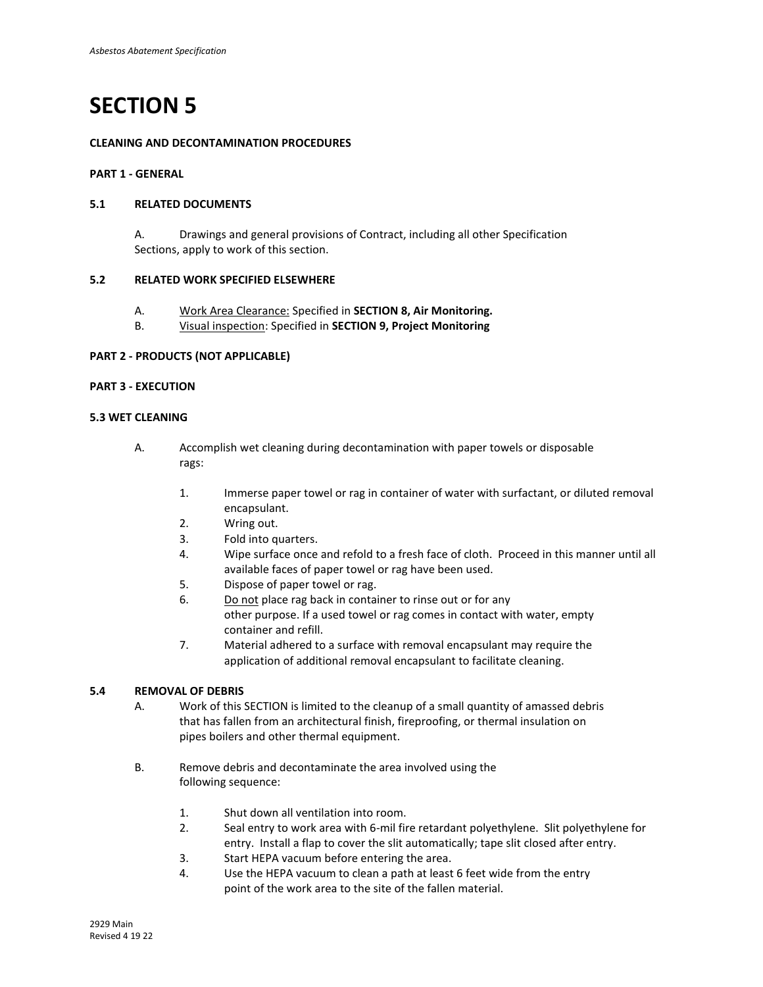## **CLEANING AND DECONTAMINATION PROCEDURES**

## **PART 1 - GENERAL**

#### **5.1 RELATED DOCUMENTS**

A. Drawings and general provisions of Contract, including all other Specification Sections, apply to work of this section.

#### **5.2 RELATED WORK SPECIFIED ELSEWHERE**

- A. Work Area Clearance: Specified in **SECTION 8, Air Monitoring.**
- B. Visual inspection: Specified in **SECTION 9, Project Monitoring**

## **PART 2 - PRODUCTS (NOT APPLICABLE)**

## **PART 3 - EXECUTION**

## **5.3 WET CLEANING**

- A. Accomplish wet cleaning during decontamination with paper towels or disposable rags:
	- 1. Immerse paper towel or rag in container of water with surfactant, or diluted removal encapsulant.
	- 2. Wring out.
	- 3. Fold into quarters.
	- 4. Wipe surface once and refold to a fresh face of cloth. Proceed in this manner until all available faces of paper towel or rag have been used.
	- 5. Dispose of paper towel or rag.
	- 6. Do not place rag back in container to rinse out or for any other purpose. If a used towel or rag comes in contact with water, empty container and refill.
	- 7. Material adhered to a surface with removal encapsulant may require the application of additional removal encapsulant to facilitate cleaning.

## **5.4 REMOVAL OF DEBRIS**

A. Work of this SECTION is limited to the cleanup of a small quantity of amassed debris that has fallen from an architectural finish, fireproofing, or thermal insulation on pipes boilers and other thermal equipment.

- B. Remove debris and decontaminate the area involved using the following sequence:
	- 1. Shut down all ventilation into room.
	- 2. Seal entry to work area with 6-mil fire retardant polyethylene. Slit polyethylene for entry. Install a flap to cover the slit automatically; tape slit closed after entry.
	- 3. Start HEPA vacuum before entering the area.
	- 4. Use the HEPA vacuum to clean a path at least 6 feet wide from the entry point of the work area to the site of the fallen material.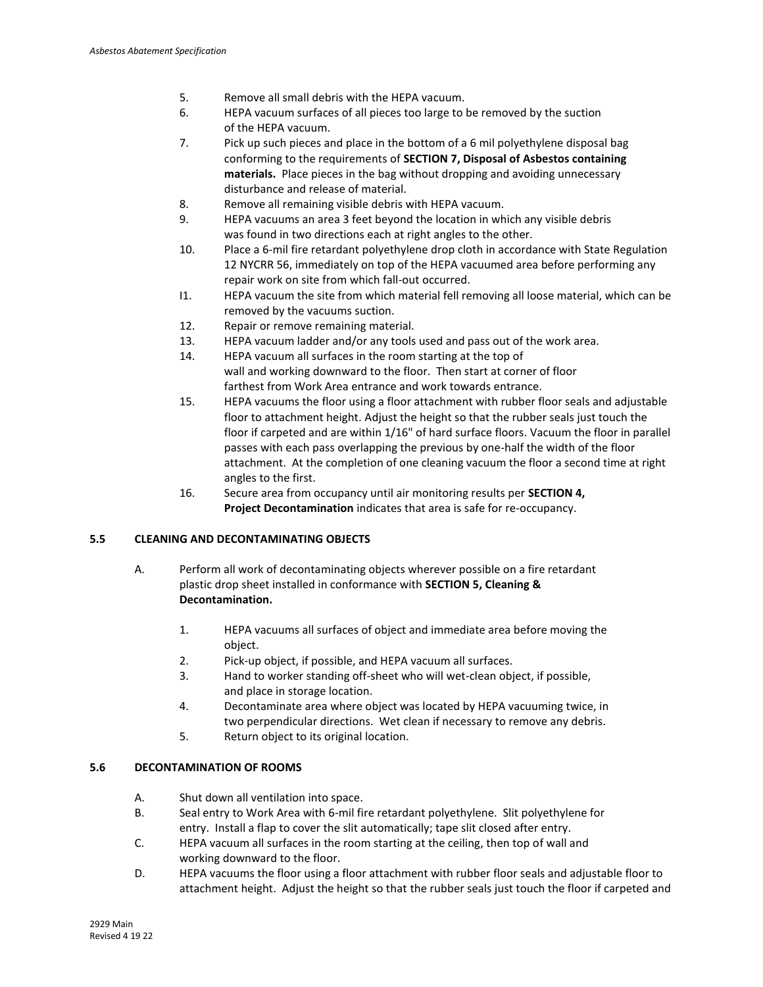- 5. Remove all small debris with the HEPA vacuum.
- 6. HEPA vacuum surfaces of all pieces too large to be removed by the suction of the HEPA vacuum.
- 7. Pick up such pieces and place in the bottom of a 6 mil polyethylene disposal bag conforming to the requirements of **SECTION 7, Disposal of Asbestos containing materials.** Place pieces in the bag without dropping and avoiding unnecessary disturbance and release of material.
- 8. Remove all remaining visible debris with HEPA vacuum.
- 9. HEPA vacuums an area 3 feet beyond the location in which any visible debris was found in two directions each at right angles to the other.
- 10. Place a 6-mil fire retardant polyethylene drop cloth in accordance with State Regulation 12 NYCRR 56, immediately on top of the HEPA vacuumed area before performing any repair work on site from which fall-out occurred.
- I1. HEPA vacuum the site from which material fell removing all loose material, which can be removed by the vacuums suction.
- 12. Repair or remove remaining material.
- 13. HEPA vacuum ladder and/or any tools used and pass out of the work area.
- 14. HEPA vacuum all surfaces in the room starting at the top of wall and working downward to the floor. Then start at corner of floor farthest from Work Area entrance and work towards entrance.
- 15. HEPA vacuums the floor using a floor attachment with rubber floor seals and adjustable floor to attachment height. Adjust the height so that the rubber seals just touch the floor if carpeted and are within 1/16" of hard surface floors. Vacuum the floor in parallel passes with each pass overlapping the previous by one-half the width of the floor attachment. At the completion of one cleaning vacuum the floor a second time at right angles to the first.
- 16. Secure area from occupancy until air monitoring results per **SECTION 4, Project Decontamination** indicates that area is safe for re-occupancy.

## **5.5 CLEANING AND DECONTAMINATING OBJECTS**

- A. Perform all work of decontaminating objects wherever possible on a fire retardant plastic drop sheet installed in conformance with **SECTION 5, Cleaning & Decontamination.** 
	- 1. HEPA vacuums all surfaces of object and immediate area before moving the object.
	- 2. Pick-up object, if possible, and HEPA vacuum all surfaces.
	- 3. Hand to worker standing off-sheet who will wet-clean object, if possible, and place in storage location.
	- 4. Decontaminate area where object was located by HEPA vacuuming twice, in two perpendicular directions. Wet clean if necessary to remove any debris.
	- 5. Return object to its original location.

## **5.6 DECONTAMINATION OF ROOMS**

- A. Shut down all ventilation into space.
- B. Seal entry to Work Area with 6-mil fire retardant polyethylene. Slit polyethylene for entry. Install a flap to cover the slit automatically; tape slit closed after entry.
- C. HEPA vacuum all surfaces in the room starting at the ceiling, then top of wall and working downward to the floor.
- D. HEPA vacuums the floor using a floor attachment with rubber floor seals and adjustable floor to attachment height. Adjust the height so that the rubber seals just touch the floor if carpeted and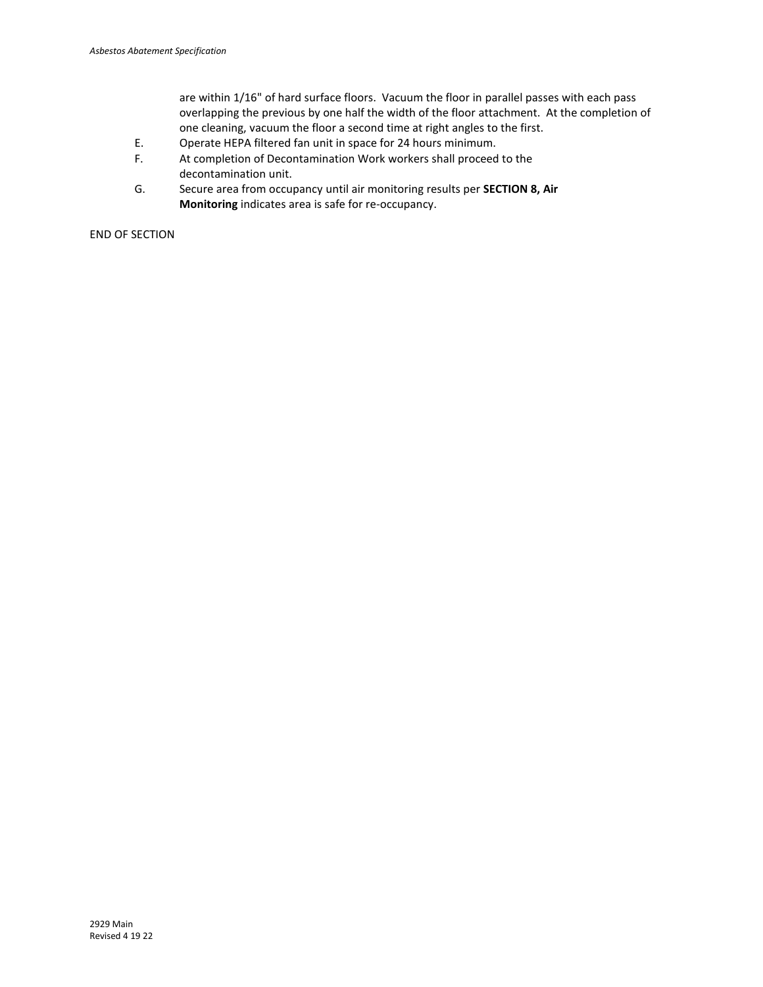are within 1/16" of hard surface floors. Vacuum the floor in parallel passes with each pass overlapping the previous by one half the width of the floor attachment. At the completion of one cleaning, vacuum the floor a second time at right angles to the first.

- E. Operate HEPA filtered fan unit in space for 24 hours minimum.
- F. At completion of Decontamination Work workers shall proceed to the decontamination unit.
- G. Secure area from occupancy until air monitoring results per **SECTION 8, Air Monitoring** indicates area is safe for re-occupancy.

END OF SECTION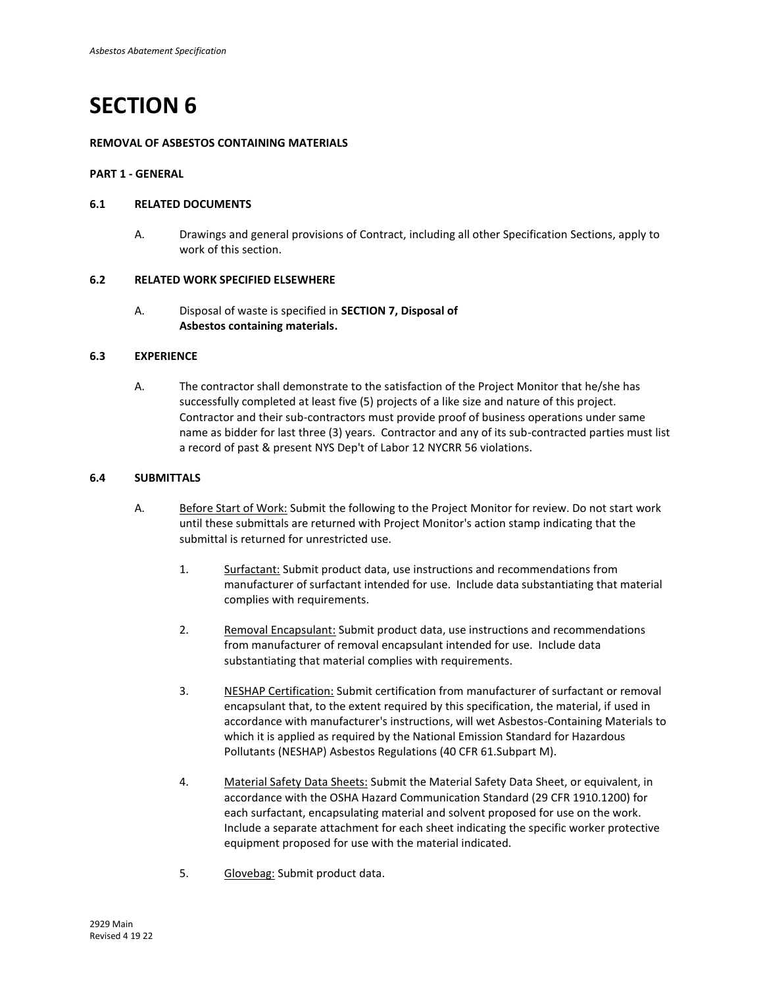## **REMOVAL OF ASBESTOS CONTAINING MATERIALS**

## **PART 1 - GENERAL**

## **6.1 RELATED DOCUMENTS**

A. Drawings and general provisions of Contract, including all other Specification Sections, apply to work of this section.

#### **6.2 RELATED WORK SPECIFIED ELSEWHERE**

A. Disposal of waste is specified in **SECTION 7, Disposal of Asbestos containing materials.**

## **6.3 EXPERIENCE**

A. The contractor shall demonstrate to the satisfaction of the Project Monitor that he/she has successfully completed at least five (5) projects of a like size and nature of this project. Contractor and their sub-contractors must provide proof of business operations under same name as bidder for last three (3) years. Contractor and any of its sub-contracted parties must list a record of past & present NYS Dep't of Labor 12 NYCRR 56 violations.

## **6.4 SUBMITTALS**

- A. Before Start of Work: Submit the following to the Project Monitor for review. Do not start work until these submittals are returned with Project Monitor's action stamp indicating that the submittal is returned for unrestricted use.
	- 1. Surfactant: Submit product data, use instructions and recommendations from manufacturer of surfactant intended for use. Include data substantiating that material complies with requirements.
	- 2. Removal Encapsulant: Submit product data, use instructions and recommendations from manufacturer of removal encapsulant intended for use. Include data substantiating that material complies with requirements.
	- 3. NESHAP Certification: Submit certification from manufacturer of surfactant or removal encapsulant that, to the extent required by this specification, the material, if used in accordance with manufacturer's instructions, will wet Asbestos-Containing Materials to which it is applied as required by the National Emission Standard for Hazardous Pollutants (NESHAP) Asbestos Regulations (40 CFR 61.Subpart M).
	- 4. Material Safety Data Sheets: Submit the Material Safety Data Sheet, or equivalent, in accordance with the OSHA Hazard Communication Standard (29 CFR 1910.1200) for each surfactant, encapsulating material and solvent proposed for use on the work. Include a separate attachment for each sheet indicating the specific worker protective equipment proposed for use with the material indicated.
	- 5. Glovebag: Submit product data.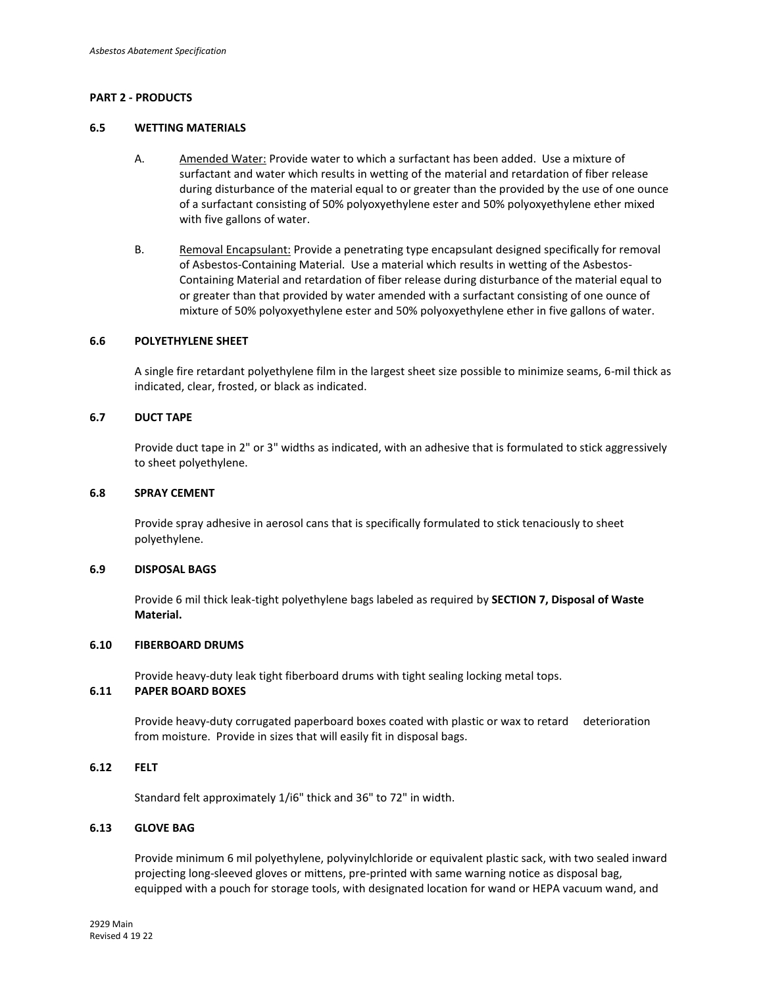## **PART 2 - PRODUCTS**

#### **6.5 WETTING MATERIALS**

- A. Amended Water: Provide water to which a surfactant has been added. Use a mixture of surfactant and water which results in wetting of the material and retardation of fiber release during disturbance of the material equal to or greater than the provided by the use of one ounce of a surfactant consisting of 50% polyoxyethylene ester and 50% polyoxyethylene ether mixed with five gallons of water.
- B. Removal Encapsulant: Provide a penetrating type encapsulant designed specifically for removal of Asbestos-Containing Material. Use a material which results in wetting of the Asbestos-Containing Material and retardation of fiber release during disturbance of the material equal to or greater than that provided by water amended with a surfactant consisting of one ounce of mixture of 50% polyoxyethylene ester and 50% polyoxyethylene ether in five gallons of water.

#### **6.6 POLYETHYLENE SHEET**

A single fire retardant polyethylene film in the largest sheet size possible to minimize seams, 6-mil thick as indicated, clear, frosted, or black as indicated.

#### **6.7 DUCT TAPE**

Provide duct tape in 2" or 3" widths as indicated, with an adhesive that is formulated to stick aggressively to sheet polyethylene.

#### **6.8 SPRAY CEMENT**

Provide spray adhesive in aerosol cans that is specifically formulated to stick tenaciously to sheet polyethylene.

#### **6.9 DISPOSAL BAGS**

Provide 6 mil thick leak-tight polyethylene bags labeled as required by **SECTION 7, Disposal of Waste Material.**

#### **6.10 FIBERBOARD DRUMS**

Provide heavy-duty leak tight fiberboard drums with tight sealing locking metal tops.

## **6.11 PAPER BOARD BOXES**

Provide heavy-duty corrugated paperboard boxes coated with plastic or wax to retard deterioration from moisture. Provide in sizes that will easily fit in disposal bags.

## **6.12 FELT**

Standard felt approximately 1/i6" thick and 36" to 72" in width.

### **6.13 GLOVE BAG**

Provide minimum 6 mil polyethylene, polyvinylchloride or equivalent plastic sack, with two sealed inward projecting long-sleeved gloves or mittens, pre-printed with same warning notice as disposal bag, equipped with a pouch for storage tools, with designated location for wand or HEPA vacuum wand, and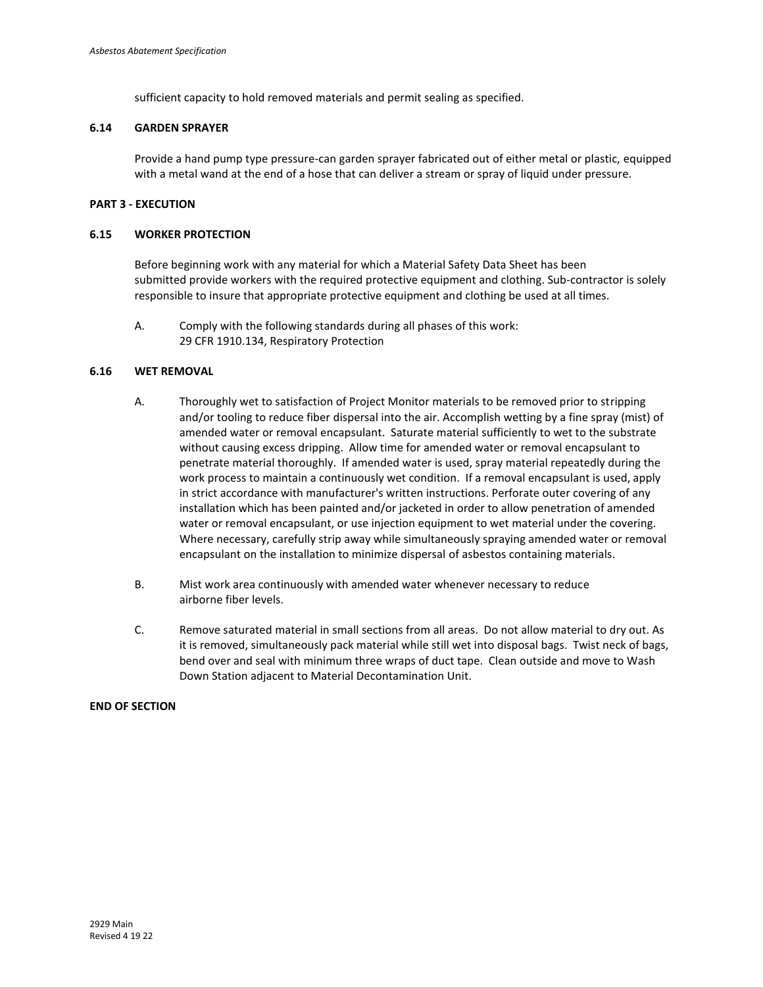sufficient capacity to hold removed materials and permit sealing as specified.

## **6.14 GARDEN SPRAYER**

Provide a hand pump type pressure-can garden sprayer fabricated out of either metal or plastic, equipped with a metal wand at the end of a hose that can deliver a stream or spray of liquid under pressure.

## **PART 3 - EXECUTION**

## **6.15 WORKER PROTECTION**

Before beginning work with any material for which a Material Safety Data Sheet has been submitted provide workers with the required protective equipment and clothing. Sub-contractor is solely responsible to insure that appropriate protective equipment and clothing be used at all times.

A. Comply with the following standards during all phases of this work: 29 CFR 1910.134, Respiratory Protection

### **6.16 WET REMOVAL**

- A. Thoroughly wet to satisfaction of Project Monitor materials to be removed prior to stripping and/or tooling to reduce fiber dispersal into the air. Accomplish wetting by a fine spray (mist) of amended water or removal encapsulant. Saturate material sufficiently to wet to the substrate without causing excess dripping. Allow time for amended water or removal encapsulant to penetrate material thoroughly. If amended water is used, spray material repeatedly during the work process to maintain a continuously wet condition. If a removal encapsulant is used, apply in strict accordance with manufacturer's written instructions. Perforate outer covering of any installation which has been painted and/or jacketed in order to allow penetration of amended water or removal encapsulant, or use injection equipment to wet material under the covering. Where necessary, carefully strip away while simultaneously spraying amended water or removal encapsulant on the installation to minimize dispersal of asbestos containing materials.
- B. Mist work area continuously with amended water whenever necessary to reduce airborne fiber levels.
- C. Remove saturated material in small sections from all areas. Do not allow material to dry out. As it is removed, simultaneously pack material while still wet into disposal bags. Twist neck of bags, bend over and seal with minimum three wraps of duct tape. Clean outside and move to Wash Down Station adjacent to Material Decontamination Unit.

## **END OF SECTION**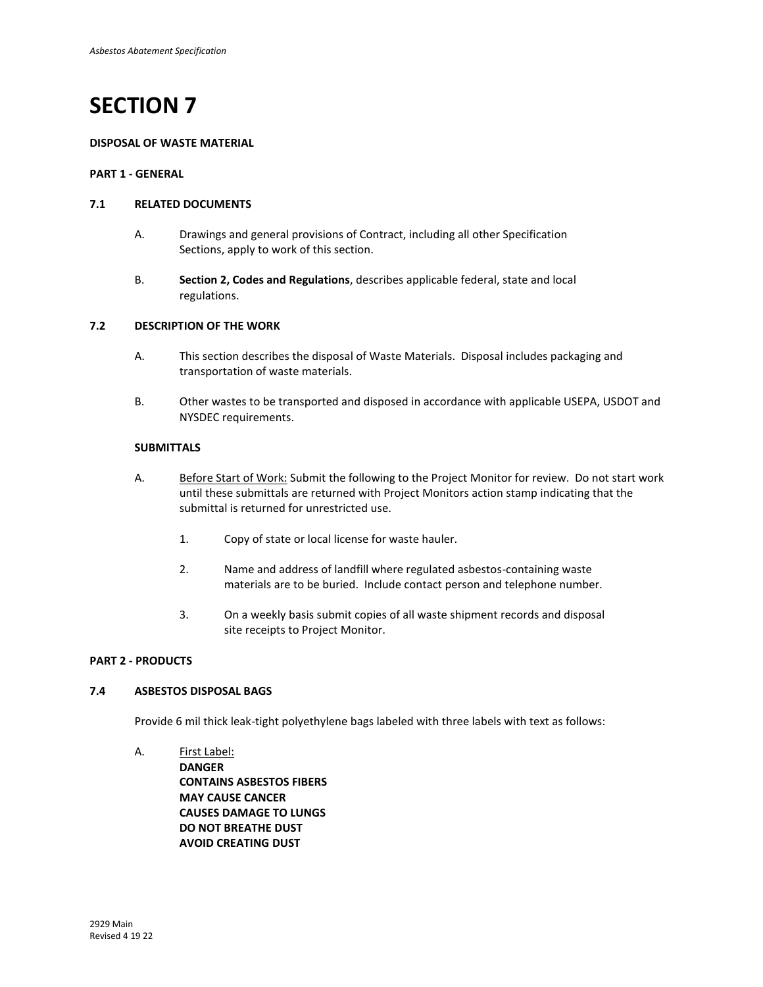#### **DISPOSAL OF WASTE MATERIAL**

## **PART 1 - GENERAL**

#### **7.1 RELATED DOCUMENTS**

- A. Drawings and general provisions of Contract, including all other Specification Sections, apply to work of this section.
- B. **Section 2, Codes and Regulations**, describes applicable federal, state and local regulations.

#### **7.2 DESCRIPTION OF THE WORK**

- A. This section describes the disposal of Waste Materials. Disposal includes packaging and transportation of waste materials.
- B. Other wastes to be transported and disposed in accordance with applicable USEPA, USDOT and NYSDEC requirements.

#### **SUBMITTALS**

- A. Before Start of Work: Submit the following to the Project Monitor for review. Do not start work until these submittals are returned with Project Monitors action stamp indicating that the submittal is returned for unrestricted use.
	- 1. Copy of state or local license for waste hauler.
	- 2. Name and address of landfill where regulated asbestos-containing waste materials are to be buried. Include contact person and telephone number.
	- 3. On a weekly basis submit copies of all waste shipment records and disposal site receipts to Project Monitor.

### **PART 2 - PRODUCTS**

## **7.4 ASBESTOS DISPOSAL BAGS**

Provide 6 mil thick leak-tight polyethylene bags labeled with three labels with text as follows:

A. First Label: **DANGER CONTAINS ASBESTOS FIBERS MAY CAUSE CANCER CAUSES DAMAGE TO LUNGS DO NOT BREATHE DUST AVOID CREATING DUST**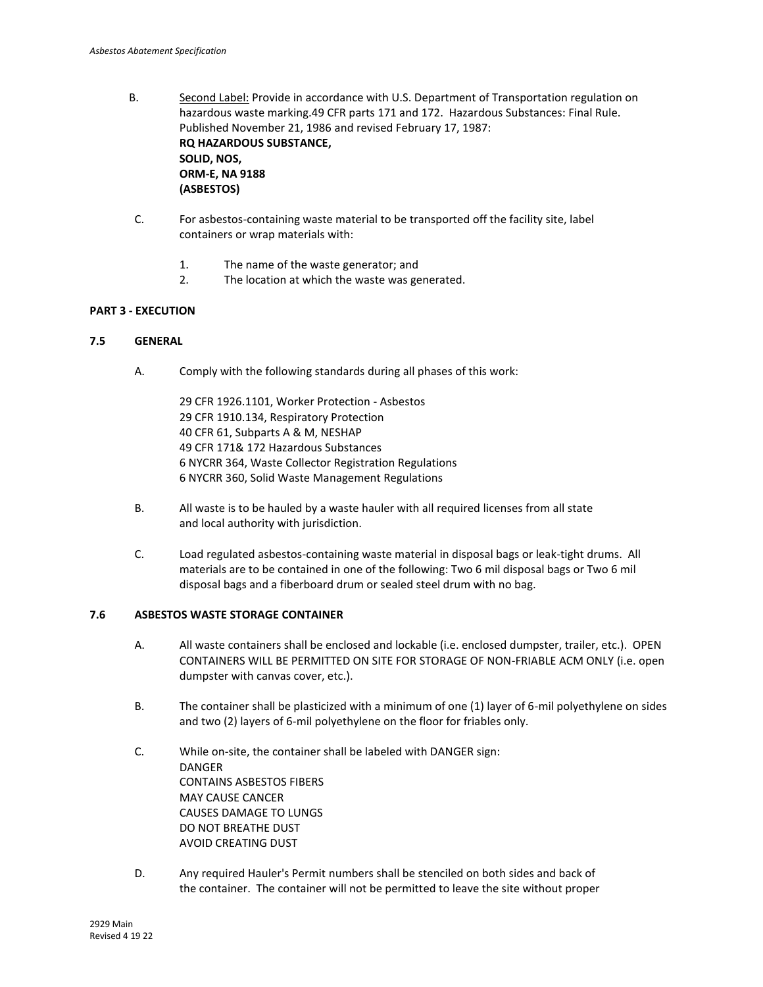- B. Second Label: Provide in accordance with U.S. Department of Transportation regulation on hazardous waste marking.49 CFR parts 171 and 172. Hazardous Substances: Final Rule. Published November 21, 1986 and revised February 17, 1987: **RQ HAZARDOUS SUBSTANCE, SOLID, NOS, ORM-E, NA 9188 (ASBESTOS)**
- C. For asbestos-containing waste material to be transported off the facility site, label containers or wrap materials with:
	- 1. The name of the waste generator; and
	- 2. The location at which the waste was generated.

## **PART 3 - EXECUTION**

## **7.5 GENERAL**

A. Comply with the following standards during all phases of this work:

29 CFR 1926.1101, Worker Protection - Asbestos 29 CFR 1910.134, Respiratory Protection 40 CFR 61, Subparts A & M, NESHAP 49 CFR 171& 172 Hazardous Substances 6 NYCRR 364, Waste Collector Registration Regulations 6 NYCRR 360, Solid Waste Management Regulations

- B. All waste is to be hauled by a waste hauler with all required licenses from all state and local authority with jurisdiction.
- C. Load regulated asbestos-containing waste material in disposal bags or leak-tight drums. All materials are to be contained in one of the following: Two 6 mil disposal bags or Two 6 mil disposal bags and a fiberboard drum or sealed steel drum with no bag.

## **7.6 ASBESTOS WASTE STORAGE CONTAINER**

- A. All waste containers shall be enclosed and lockable (i.e. enclosed dumpster, trailer, etc.). OPEN CONTAINERS WILL BE PERMITTED ON SITE FOR STORAGE OF NON-FRIABLE ACM ONLY (i.e. open dumpster with canvas cover, etc.).
- B. The container shall be plasticized with a minimum of one (1) layer of 6-mil polyethylene on sides and two (2) layers of 6-mil polyethylene on the floor for friables only.
- C. While on-site, the container shall be labeled with DANGER sign: DANGER CONTAINS ASBESTOS FIBERS MAY CAUSE CANCER CAUSES DAMAGE TO LUNGS DO NOT BREATHE DUST AVOID CREATING DUST
- D. Any required Hauler's Permit numbers shall be stenciled on both sides and back of the container. The container will not be permitted to leave the site without proper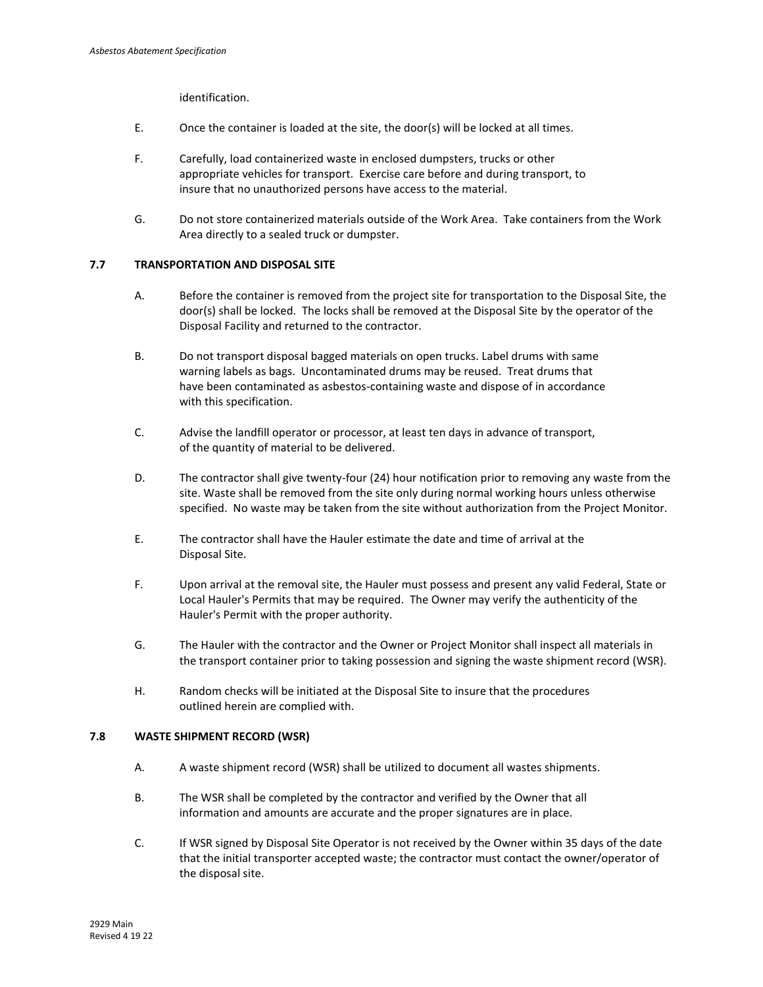identification.

- E. Once the container is loaded at the site, the door(s) will be locked at all times.
- F. Carefully, load containerized waste in enclosed dumpsters, trucks or other appropriate vehicles for transport. Exercise care before and during transport, to insure that no unauthorized persons have access to the material.
- G. Do not store containerized materials outside of the Work Area. Take containers from the Work Area directly to a sealed truck or dumpster.

## **7.7 TRANSPORTATION AND DISPOSAL SITE**

- A. Before the container is removed from the project site for transportation to the Disposal Site, the door(s) shall be locked. The locks shall be removed at the Disposal Site by the operator of the Disposal Facility and returned to the contractor.
- B. Do not transport disposal bagged materials on open trucks. Label drums with same warning labels as bags. Uncontaminated drums may be reused. Treat drums that have been contaminated as asbestos-containing waste and dispose of in accordance with this specification.
- C. Advise the landfill operator or processor, at least ten days in advance of transport, of the quantity of material to be delivered.
- D. The contractor shall give twenty-four (24) hour notification prior to removing any waste from the site. Waste shall be removed from the site only during normal working hours unless otherwise specified. No waste may be taken from the site without authorization from the Project Monitor.
- E. The contractor shall have the Hauler estimate the date and time of arrival at the Disposal Site.
- F. Upon arrival at the removal site, the Hauler must possess and present any valid Federal, State or Local Hauler's Permits that may be required. The Owner may verify the authenticity of the Hauler's Permit with the proper authority.
- G. The Hauler with the contractor and the Owner or Project Monitor shall inspect all materials in the transport container prior to taking possession and signing the waste shipment record (WSR).
- H. Random checks will be initiated at the Disposal Site to insure that the procedures outlined herein are complied with.

## **7.8 WASTE SHIPMENT RECORD (WSR)**

- A. A waste shipment record (WSR) shall be utilized to document all wastes shipments.
- B. The WSR shall be completed by the contractor and verified by the Owner that all information and amounts are accurate and the proper signatures are in place.
- C. If WSR signed by Disposal Site Operator is not received by the Owner within 35 days of the date that the initial transporter accepted waste; the contractor must contact the owner/operator of the disposal site.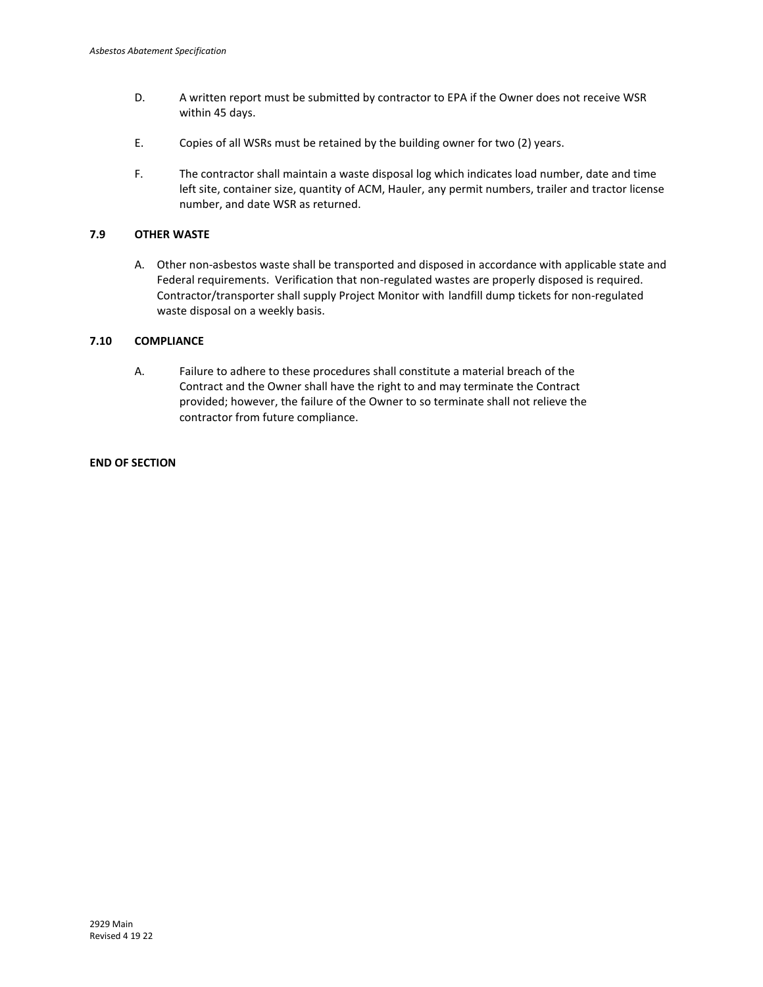- D. A written report must be submitted by contractor to EPA if the Owner does not receive WSR within 45 days.
- E. Copies of all WSRs must be retained by the building owner for two (2) years.
- F. The contractor shall maintain a waste disposal log which indicates load number, date and time left site, container size, quantity of ACM, Hauler, any permit numbers, trailer and tractor license number, and date WSR as returned.

## **7.9 OTHER WASTE**

A. Other non-asbestos waste shall be transported and disposed in accordance with applicable state and Federal requirements. Verification that non-regulated wastes are properly disposed is required. Contractor/transporter shall supply Project Monitor with landfill dump tickets for non-regulated waste disposal on a weekly basis.

## **7.10 COMPLIANCE**

A. Failure to adhere to these procedures shall constitute a material breach of the Contract and the Owner shall have the right to and may terminate the Contract provided; however, the failure of the Owner to so terminate shall not relieve the contractor from future compliance.

## **END OF SECTION**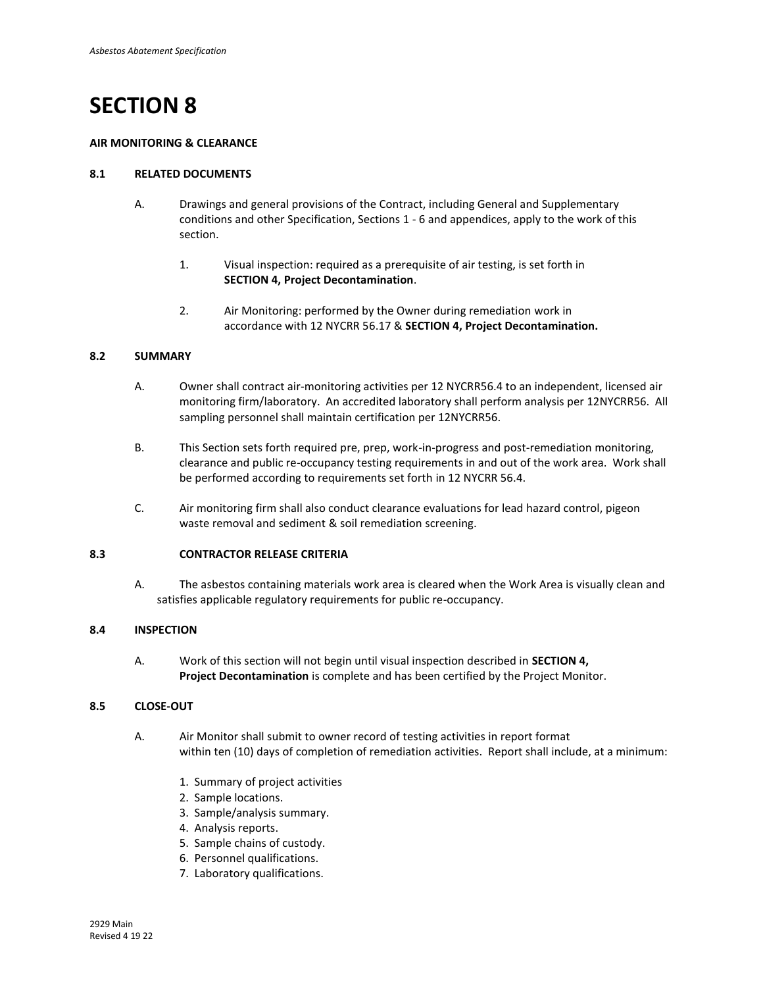## **AIR MONITORING & CLEARANCE**

## **8.1 RELATED DOCUMENTS**

- A. Drawings and general provisions of the Contract, including General and Supplementary conditions and other Specification, Sections 1 - 6 and appendices, apply to the work of this section.
	- 1. Visual inspection: required as a prerequisite of air testing, is set forth in **SECTION 4, Project Decontamination**.
	- 2. Air Monitoring: performed by the Owner during remediation work in accordance with 12 NYCRR 56.17 & **SECTION 4, Project Decontamination.**

## **8.2 SUMMARY**

- A. Owner shall contract air-monitoring activities per 12 NYCRR56.4 to an independent, licensed air monitoring firm/laboratory. An accredited laboratory shall perform analysis per 12NYCRR56. All sampling personnel shall maintain certification per 12NYCRR56.
- B. This Section sets forth required pre, prep, work-in-progress and post-remediation monitoring, clearance and public re-occupancy testing requirements in and out of the work area. Work shall be performed according to requirements set forth in 12 NYCRR 56.4.
- C. Air monitoring firm shall also conduct clearance evaluations for lead hazard control, pigeon waste removal and sediment & soil remediation screening.

## **8.3 CONTRACTOR RELEASE CRITERIA**

A. The asbestos containing materials work area is cleared when the Work Area is visually clean and satisfies applicable regulatory requirements for public re-occupancy.

## **8.4 INSPECTION**

A. Work of this section will not begin until visual inspection described in **SECTION 4, Project Decontamination** is complete and has been certified by the Project Monitor.

## **8.5 CLOSE-OUT**

- A. Air Monitor shall submit to owner record of testing activities in report format within ten (10) days of completion of remediation activities. Report shall include, at a minimum:
	- 1. Summary of project activities
	- 2. Sample locations.
	- 3. Sample/analysis summary.
	- 4. Analysis reports.
	- 5. Sample chains of custody.
	- 6. Personnel qualifications.
	- 7. Laboratory qualifications.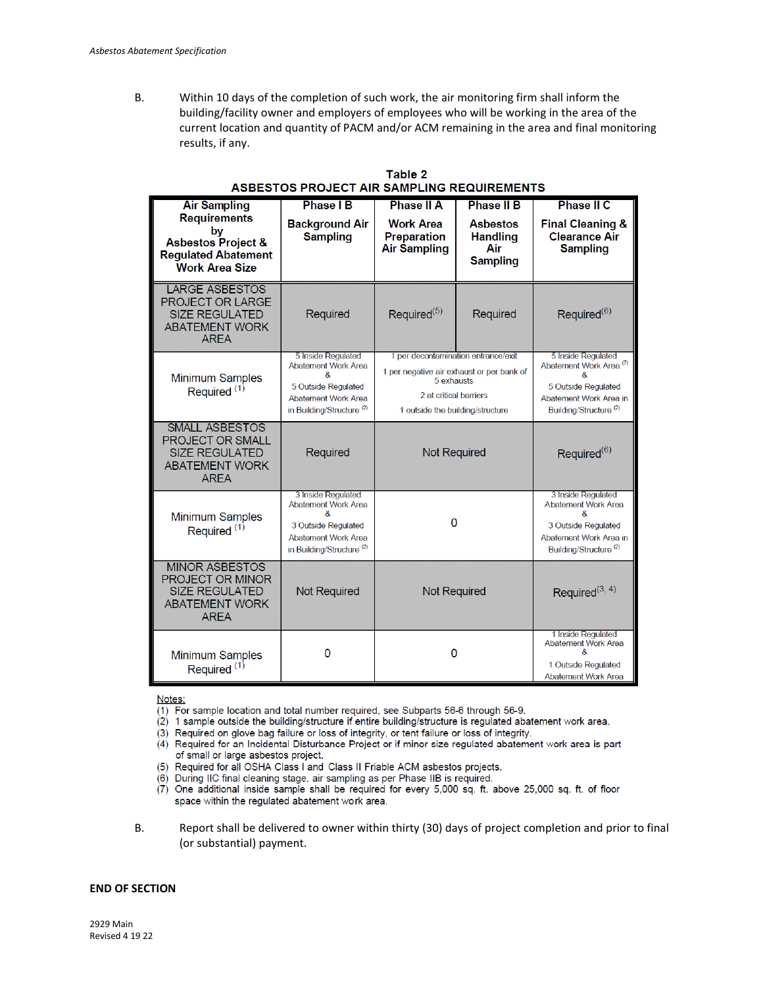B. Within 10 days of the completion of such work, the air monitoring firm shall inform the building/facility owner and employers of employees who will be working in the area of the current location and quantity of PACM and/or ACM remaining in the area and final monitoring results, if any.

| <b>Air Sampling</b>                                                                                               | <b>Phase IB</b>                                                                                                                             | <b>Phase II A</b>                                                                                                                                            | <b>Phase II B</b>                                            | <b>Phase II C</b>                                                                                                                                   |
|-------------------------------------------------------------------------------------------------------------------|---------------------------------------------------------------------------------------------------------------------------------------------|--------------------------------------------------------------------------------------------------------------------------------------------------------------|--------------------------------------------------------------|-----------------------------------------------------------------------------------------------------------------------------------------------------|
| <b>Requirements</b><br>by<br><b>Asbestos Project &amp;</b><br><b>Regulated Abatement</b><br><b>Work Area Size</b> | <b>Background Air</b><br><b>Sampling</b>                                                                                                    | <b>Work Area</b><br><b>Preparation</b><br><b>Air Sampling</b>                                                                                                | <b>Asbestos</b><br><b>Handling</b><br>Air<br><b>Sampling</b> | <b>Final Cleaning &amp;</b><br><b>Clearance Air</b><br><b>Sampling</b>                                                                              |
| LARGE ASBESTOS<br>PROJECT OR LARGE<br><b>SIZE REGULATED</b><br><b>ABATEMENT WORK</b><br><b>AREA</b>               | Required                                                                                                                                    | Required <sup>(5)</sup>                                                                                                                                      | Required                                                     | Required <sup>(6)</sup>                                                                                                                             |
| Minimum Samples<br>Required <sup>(1)</sup>                                                                        | 5 Inside Regulated<br><b>Abatement Work Area</b><br>8<br>5 Outside Regulated<br>Abatement Work Area<br>in Building/Structure <sup>(2)</sup> | 1 per decontamination entrance/exit<br>1 per negative air exhaust or per bank of<br>5 exhausts<br>2 at critical barriers<br>1 outside the building/structure |                                                              | 5 Inside Regulated<br>Abatement Work Area <sup>(7)</sup><br>&<br>5 Outside Regulated<br>Abatement Work Area in<br>Building/Structure <sup>(2)</sup> |
| <b>SMALL ASBESTOS</b><br>PROJECT OR SMALL<br><b>SIZE REGULATED</b><br><b>ABATEMENT WORK</b><br><b>AREA</b>        | Required                                                                                                                                    | <b>Not Required</b>                                                                                                                                          |                                                              | Required <sup>(6)</sup>                                                                                                                             |
| Minimum Samples<br>Required <sup>(1)</sup>                                                                        | 3 Inside Regulated<br>Abatement Work Area<br>8<br>3 Outside Regulated<br><b>Abatement Work Area</b><br>in Building/Structure <sup>(2)</sup> | 0                                                                                                                                                            |                                                              | 3 Inside Regulated<br>Abatement Work Area<br>8<br>3 Outside Regulated<br>Abatement Work Area in<br>Building/Structure <sup>(2)</sup>                |
| <b>MINOR ASBESTOS</b><br><b>PROJECT OR MINOR</b><br><b>SIZE REGULATED</b><br><b>ABATEMENT WORK</b><br><b>AREA</b> | <b>Not Required</b>                                                                                                                         | <b>Not Required</b>                                                                                                                                          |                                                              | Required <sup>(3, 4)</sup>                                                                                                                          |
| <b>Minimum Samples</b><br>Required <sup>(1)</sup>                                                                 | 0                                                                                                                                           | 0                                                                                                                                                            |                                                              | 1 Inside Regulated<br><b>Abatement Work Area</b><br>8<br>1 Outside Regulated<br><b>Abatement Work Area</b>                                          |

| Table 2                                    |
|--------------------------------------------|
| ASBESTOS PROJECT AIR SAMPLING REQUIREMENTS |

Notes:

(1) For sample location and total number required, see Subparts 56-6 through 56-9.

 $(2)$  1 sample outside the building/structure if entire building/structure is regulated abatement work area.

(3) Required on glove bag failure or loss of integrity, or tent failure or loss of integrity.

- (4) Required for an Incidental Disturbance Project or if minor size regulated abatement work area is part of small or large asbestos project.
- (5) Required for all OSHA Class I and Class II Friable ACM asbestos projects.

(6) During IIC final cleaning stage, air sampling as per Phase IIB is required.

- (7) One additional inside sample shall be required for every 5,000 sq. ft. above 25,000 sq. ft. of floor space within the regulated abatement work area.
- B. Report shall be delivered to owner within thirty (30) days of project completion and prior to final (or substantial) payment.

#### **END OF SECTION**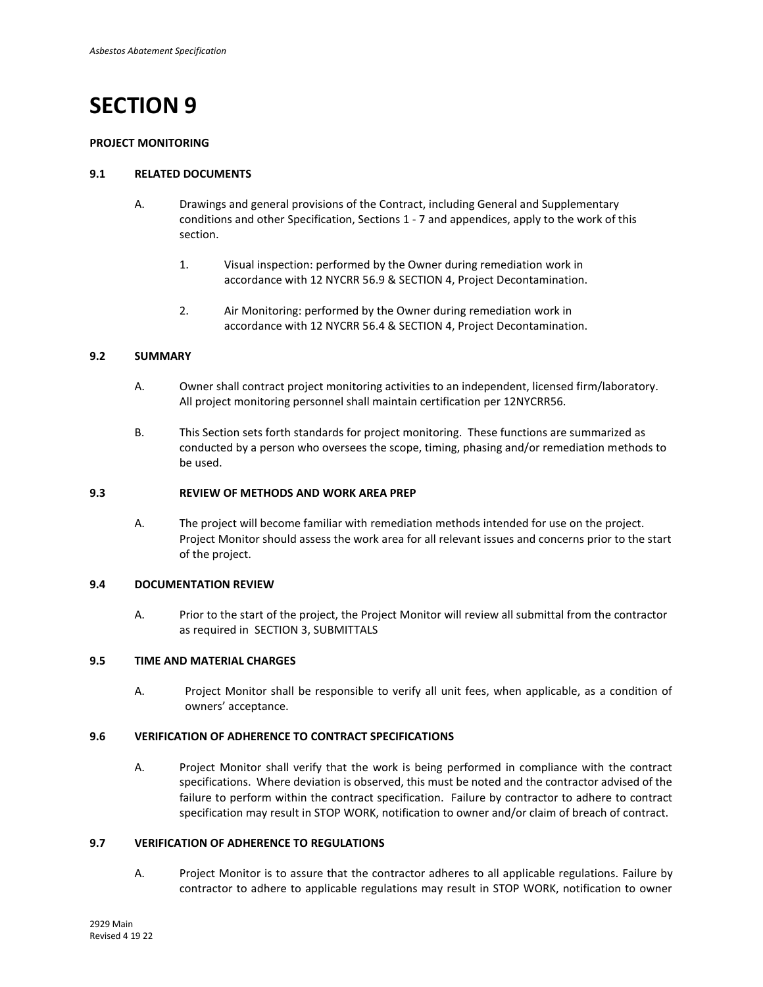#### **PROJECT MONITORING**

### **9.1 RELATED DOCUMENTS**

- A. Drawings and general provisions of the Contract, including General and Supplementary conditions and other Specification, Sections 1 - 7 and appendices, apply to the work of this section.
	- 1. Visual inspection: performed by the Owner during remediation work in accordance with 12 NYCRR 56.9 & SECTION 4, Project Decontamination.
	- 2. Air Monitoring: performed by the Owner during remediation work in accordance with 12 NYCRR 56.4 & SECTION 4, Project Decontamination.

## **9.2 SUMMARY**

- A. Owner shall contract project monitoring activities to an independent, licensed firm/laboratory. All project monitoring personnel shall maintain certification per 12NYCRR56.
- B. This Section sets forth standards for project monitoring. These functions are summarized as conducted by a person who oversees the scope, timing, phasing and/or remediation methods to be used.

#### **9.3 REVIEW OF METHODS AND WORK AREA PREP**

A. The project will become familiar with remediation methods intended for use on the project. Project Monitor should assess the work area for all relevant issues and concerns prior to the start of the project.

#### **9.4 DOCUMENTATION REVIEW**

A. Prior to the start of the project, the Project Monitor will review all submittal from the contractor as required in SECTION 3, SUBMITTALS

#### **9.5 TIME AND MATERIAL CHARGES**

A. Project Monitor shall be responsible to verify all unit fees, when applicable, as a condition of owners' acceptance.

## **9.6 VERIFICATION OF ADHERENCE TO CONTRACT SPECIFICATIONS**

A. Project Monitor shall verify that the work is being performed in compliance with the contract specifications. Where deviation is observed, this must be noted and the contractor advised of the failure to perform within the contract specification. Failure by contractor to adhere to contract specification may result in STOP WORK, notification to owner and/or claim of breach of contract.

## **9.7 VERIFICATION OF ADHERENCE TO REGULATIONS**

A. Project Monitor is to assure that the contractor adheres to all applicable regulations. Failure by contractor to adhere to applicable regulations may result in STOP WORK, notification to owner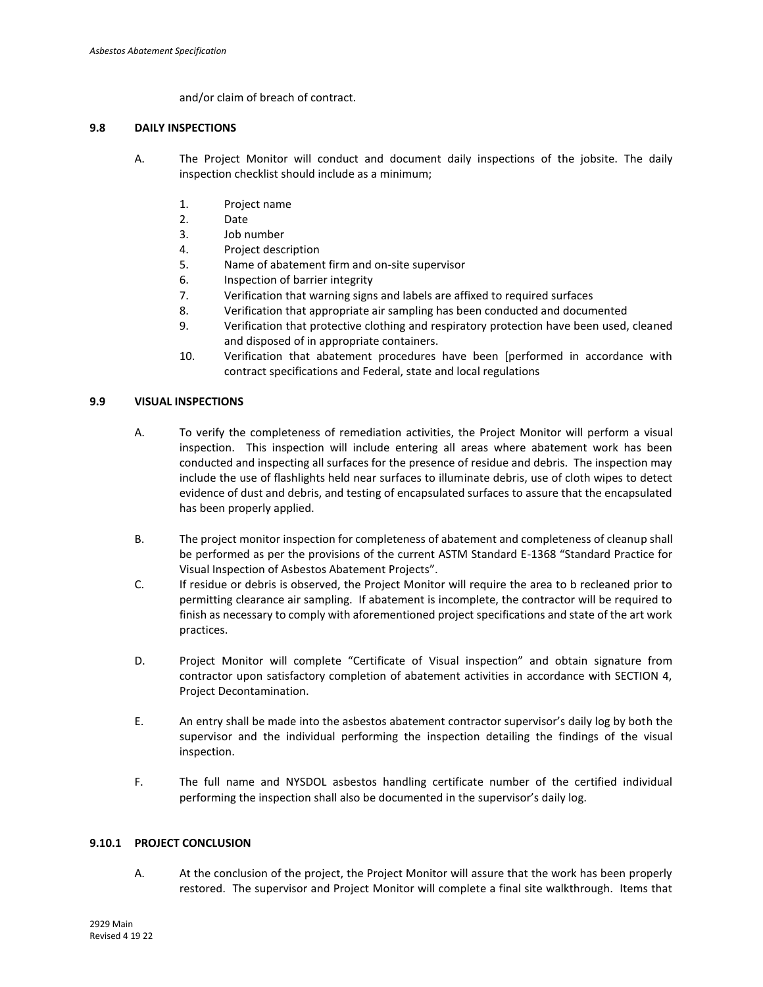and/or claim of breach of contract.

## **9.8 DAILY INSPECTIONS**

- A. The Project Monitor will conduct and document daily inspections of the jobsite. The daily inspection checklist should include as a minimum;
	- 1. Project name
	- 2. Date
	- 3. Job number
	- 4. Project description
	- 5. Name of abatement firm and on-site supervisor
	- 6. Inspection of barrier integrity
	- 7. Verification that warning signs and labels are affixed to required surfaces
	- 8. Verification that appropriate air sampling has been conducted and documented
	- 9. Verification that protective clothing and respiratory protection have been used, cleaned and disposed of in appropriate containers.
	- 10. Verification that abatement procedures have been [performed in accordance with contract specifications and Federal, state and local regulations

## **9.9 VISUAL INSPECTIONS**

- A. To verify the completeness of remediation activities, the Project Monitor will perform a visual inspection. This inspection will include entering all areas where abatement work has been conducted and inspecting all surfaces for the presence of residue and debris. The inspection may include the use of flashlights held near surfaces to illuminate debris, use of cloth wipes to detect evidence of dust and debris, and testing of encapsulated surfaces to assure that the encapsulated has been properly applied.
- B. The project monitor inspection for completeness of abatement and completeness of cleanup shall be performed as per the provisions of the current ASTM Standard E-1368 "Standard Practice for Visual Inspection of Asbestos Abatement Projects".
- C. If residue or debris is observed, the Project Monitor will require the area to b recleaned prior to permitting clearance air sampling. If abatement is incomplete, the contractor will be required to finish as necessary to comply with aforementioned project specifications and state of the art work practices.
- D. Project Monitor will complete "Certificate of Visual inspection" and obtain signature from contractor upon satisfactory completion of abatement activities in accordance with SECTION 4, Project Decontamination.
- E. An entry shall be made into the asbestos abatement contractor supervisor's daily log by both the supervisor and the individual performing the inspection detailing the findings of the visual inspection.
- F. The full name and NYSDOL asbestos handling certificate number of the certified individual performing the inspection shall also be documented in the supervisor's daily log.

## **9.10.1 PROJECT CONCLUSION**

A. At the conclusion of the project, the Project Monitor will assure that the work has been properly restored. The supervisor and Project Monitor will complete a final site walkthrough. Items that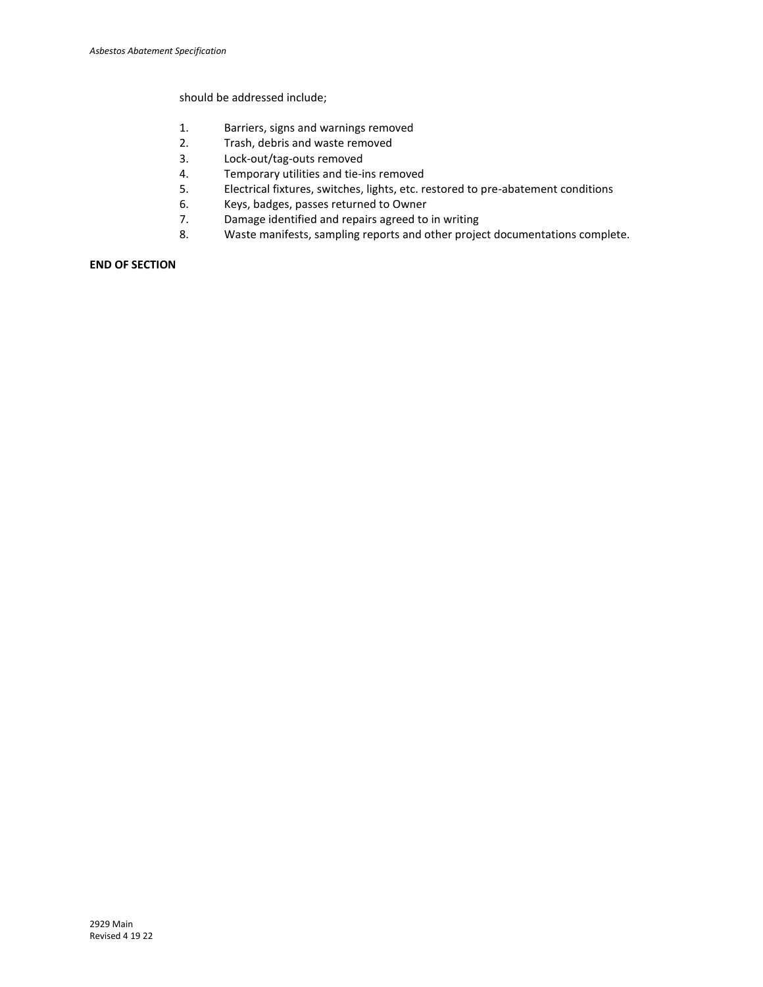should be addressed include;

- 1. Barriers, signs and warnings removed
- 2. Trash, debris and waste removed
- 3. Lock-out/tag-outs removed<br>4. Temporary utilities and tie-in
- Temporary utilities and tie-ins removed
- 5. Electrical fixtures, switches, lights, etc. restored to pre-abatement conditions
- 6. Keys, badges, passes returned to Owner<br>7. Damage identified and repairs agreed to
- Damage identified and repairs agreed to in writing
- 8. Waste manifests, sampling reports and other project documentations complete.

## **END OF SECTION**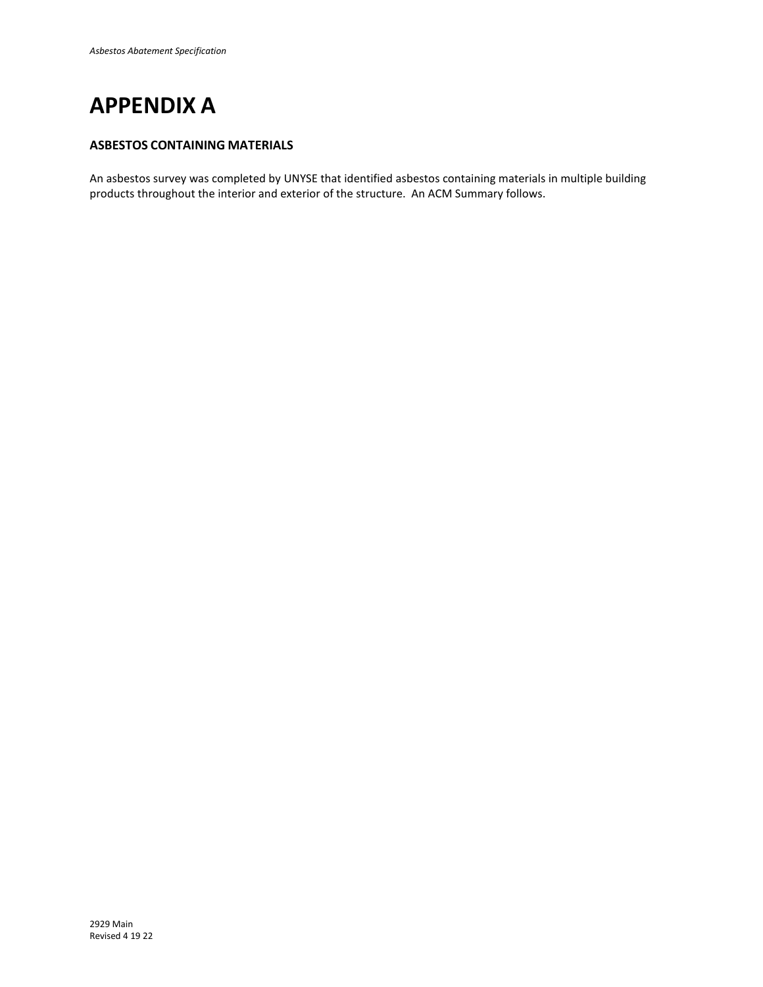

## **ASBESTOS CONTAINING MATERIALS**

An asbestos survey was completed by UNYSE that identified asbestos containing materials in multiple building products throughout the interior and exterior of the structure. An ACM Summary follows.